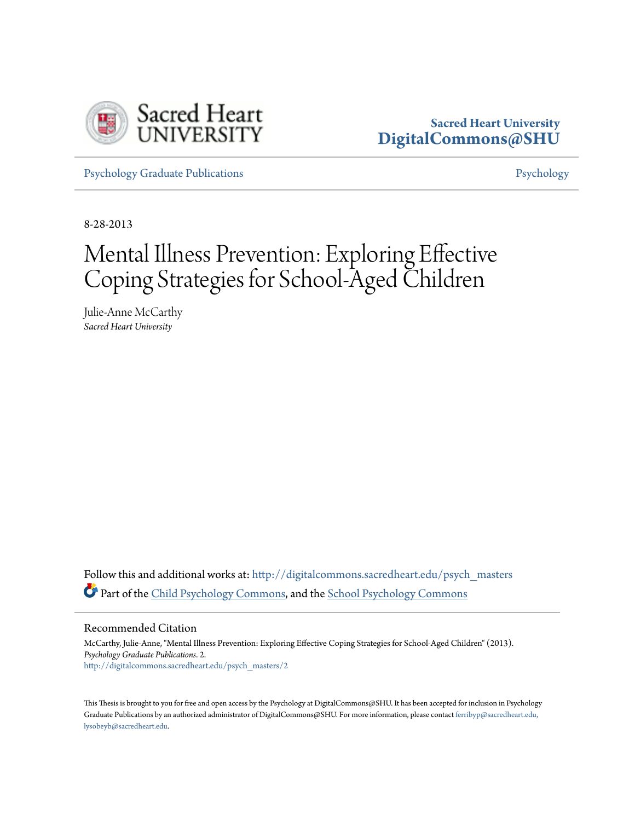

# **Sacred Heart University [DigitalCommons@SHU](http://digitalcommons.sacredheart.edu?utm_source=digitalcommons.sacredheart.edu%2Fpsych_masters%2F2&utm_medium=PDF&utm_campaign=PDFCoverPages)**

[Psychology Graduate Publications](http://digitalcommons.sacredheart.edu/psych_masters?utm_source=digitalcommons.sacredheart.edu%2Fpsych_masters%2F2&utm_medium=PDF&utm_campaign=PDFCoverPages) **[Psychology](http://digitalcommons.sacredheart.edu/psych?utm_source=digitalcommons.sacredheart.edu%2Fpsych_masters%2F2&utm_medium=PDF&utm_campaign=PDFCoverPages)** 

8-28-2013

# Mental Illness Prevention: Exploring Effective Coping Strategies for School-Aged Children

Julie-Anne McCarthy *Sacred Heart University*

Follow this and additional works at: [http://digitalcommons.sacredheart.edu/psych\\_masters](http://digitalcommons.sacredheart.edu/psych_masters?utm_source=digitalcommons.sacredheart.edu%2Fpsych_masters%2F2&utm_medium=PDF&utm_campaign=PDFCoverPages) Part of the [Child Psychology Commons](http://network.bepress.com/hgg/discipline/1023?utm_source=digitalcommons.sacredheart.edu%2Fpsych_masters%2F2&utm_medium=PDF&utm_campaign=PDFCoverPages), and the [School Psychology Commons](http://network.bepress.com/hgg/discipline/1072?utm_source=digitalcommons.sacredheart.edu%2Fpsych_masters%2F2&utm_medium=PDF&utm_campaign=PDFCoverPages)

Recommended Citation

McCarthy, Julie-Anne, "Mental Illness Prevention: Exploring Effective Coping Strategies for School-Aged Children" (2013). *Psychology Graduate Publications*. 2. [http://digitalcommons.sacredheart.edu/psych\\_masters/2](http://digitalcommons.sacredheart.edu/psych_masters/2?utm_source=digitalcommons.sacredheart.edu%2Fpsych_masters%2F2&utm_medium=PDF&utm_campaign=PDFCoverPages)

This Thesis is brought to you for free and open access by the Psychology at DigitalCommons@SHU. It has been accepted for inclusion in Psychology Graduate Publications by an authorized administrator of DigitalCommons@SHU. For more information, please contact [ferribyp@sacredheart.edu,](mailto:ferribyp@sacredheart.edu,%20lysobeyb@sacredheart.edu) [lysobeyb@sacredheart.edu.](mailto:ferribyp@sacredheart.edu,%20lysobeyb@sacredheart.edu)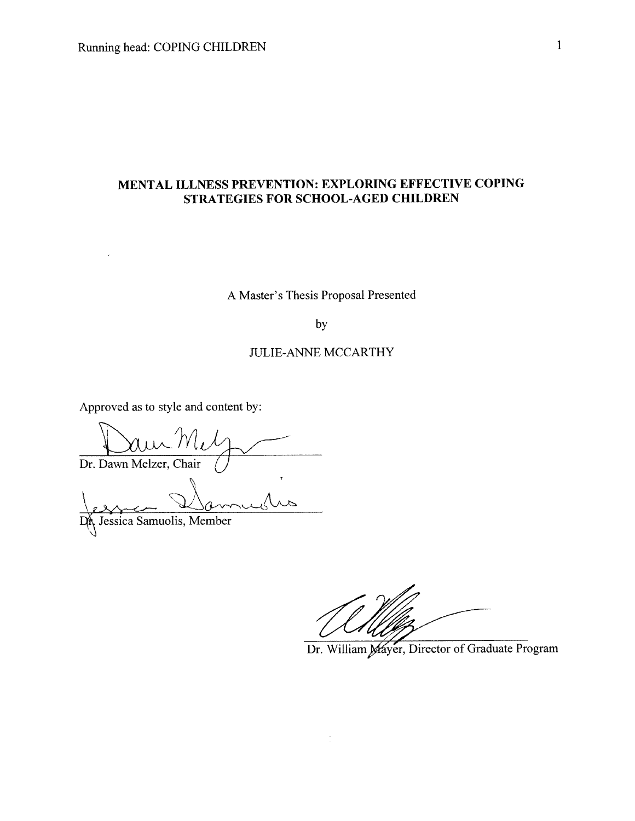### MENTAL ILLNESS PREVENTION: EXPLORING EFFECTIVE COPING STRATEGIES FOR SCHOOL-AGED CHILDREN

### A Master's Thesis Proposal Presented

by

#### **JULIE-ANNE MCCARTHY**

Approved as to style and content by:

Dr. Dawn Melzer, Chair

DA Jessica Samuolis, Member

Dr. William Mayer, Director of Graduate Program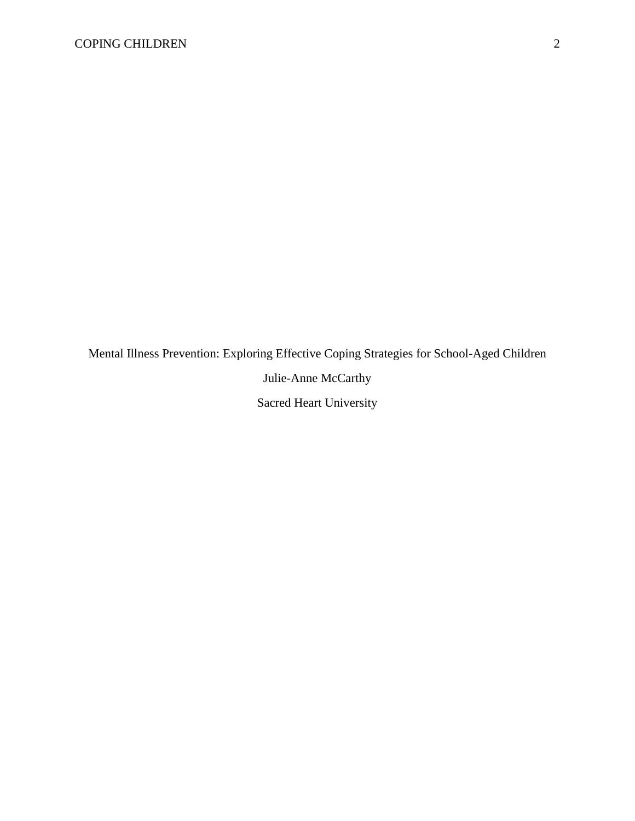Mental Illness Prevention: Exploring Effective Coping Strategies for School-Aged Children Julie-Anne McCarthy Sacred Heart University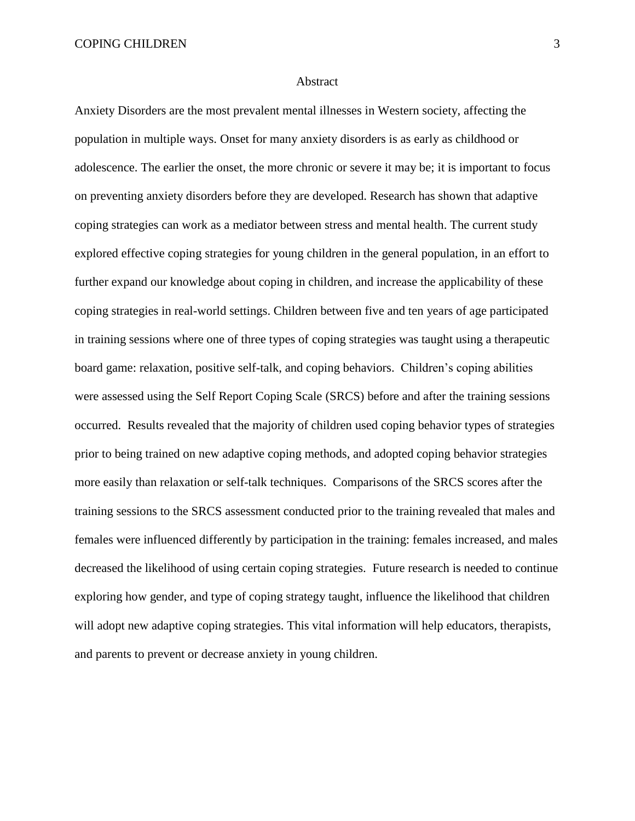#### Abstract

Anxiety Disorders are the most prevalent mental illnesses in Western society, affecting the population in multiple ways. Onset for many anxiety disorders is as early as childhood or adolescence. The earlier the onset, the more chronic or severe it may be; it is important to focus on preventing anxiety disorders before they are developed. Research has shown that adaptive coping strategies can work as a mediator between stress and mental health. The current study explored effective coping strategies for young children in the general population, in an effort to further expand our knowledge about coping in children, and increase the applicability of these coping strategies in real-world settings. Children between five and ten years of age participated in training sessions where one of three types of coping strategies was taught using a therapeutic board game: relaxation, positive self-talk, and coping behaviors. Children's coping abilities were assessed using the Self Report Coping Scale (SRCS) before and after the training sessions occurred. Results revealed that the majority of children used coping behavior types of strategies prior to being trained on new adaptive coping methods, and adopted coping behavior strategies more easily than relaxation or self-talk techniques. Comparisons of the SRCS scores after the training sessions to the SRCS assessment conducted prior to the training revealed that males and females were influenced differently by participation in the training: females increased, and males decreased the likelihood of using certain coping strategies. Future research is needed to continue exploring how gender, and type of coping strategy taught, influence the likelihood that children will adopt new adaptive coping strategies. This vital information will help educators, therapists, and parents to prevent or decrease anxiety in young children.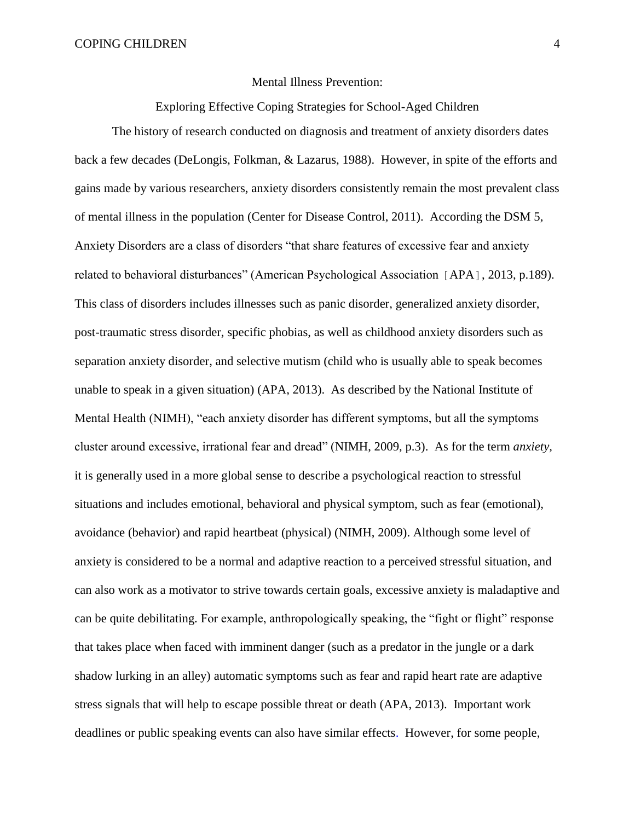#### Mental Illness Prevention:

Exploring Effective Coping Strategies for School-Aged Children

The history of research conducted on diagnosis and treatment of anxiety disorders dates back a few decades (DeLongis, Folkman, & Lazarus, 1988). However, in spite of the efforts and gains made by various researchers, anxiety disorders consistently remain the most prevalent class of mental illness in the population (Center for Disease Control, 2011). According the DSM 5, Anxiety Disorders are a class of disorders "that share features of excessive fear and anxiety related to behavioral disturbances" (American Psychological Association [APA], 2013, p.189). This class of disorders includes illnesses such as panic disorder, generalized anxiety disorder, post-traumatic stress disorder, specific phobias, as well as childhood anxiety disorders such as separation anxiety disorder, and selective mutism (child who is usually able to speak becomes unable to speak in a given situation) (APA, 2013). As described by the National Institute of Mental Health (NIMH), "each anxiety disorder has different symptoms, but all the symptoms cluster around excessive, irrational fear and dread" (NIMH, 2009, p.3). As for the term *anxiety,*  it is generally used in a more global sense to describe a psychological reaction to stressful situations and includes emotional, behavioral and physical symptom, such as fear (emotional), avoidance (behavior) and rapid heartbeat (physical) (NIMH, 2009). Although some level of anxiety is considered to be a normal and adaptive reaction to a perceived stressful situation, and can also work as a motivator to strive towards certain goals, excessive anxiety is maladaptive and can be quite debilitating. For example, anthropologically speaking, the "fight or flight" response that takes place when faced with imminent danger (such as a predator in the jungle or a dark shadow lurking in an alley) automatic symptoms such as fear and rapid heart rate are adaptive stress signals that will help to escape possible threat or death (APA, 2013). Important work deadlines or public speaking events can also have similar effects. However, for some people,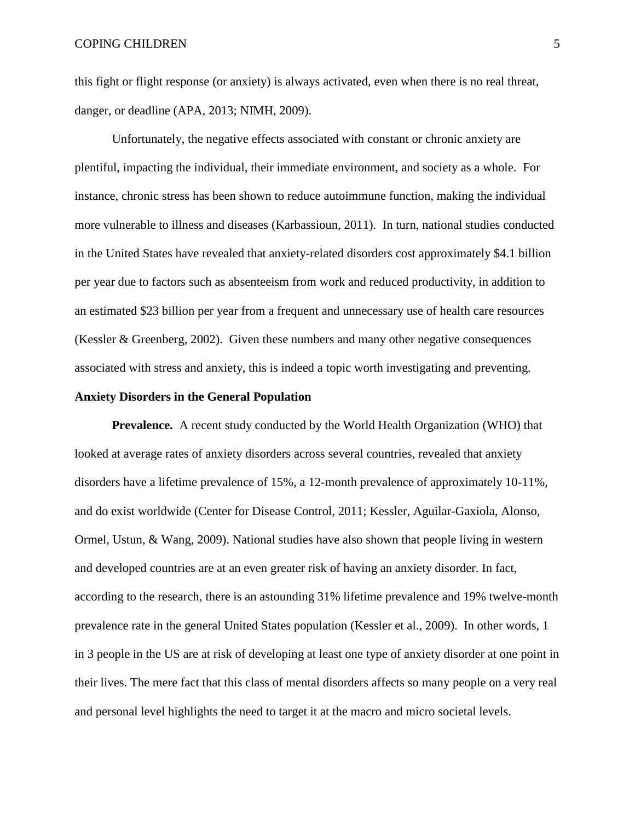this fight or flight response (or anxiety) is always activated, even when there is no real threat, danger, or deadline (APA, 2013; NIMH, 2009).

Unfortunately, the negative effects associated with constant or chronic anxiety are plentiful, impacting the individual, their immediate environment, and society as a whole. For instance, chronic stress has been shown to reduce autoimmune function, making the individual more vulnerable to illness and diseases (Karbassioun, 2011). In turn, national studies conducted in the United States have revealed that anxiety-related disorders cost approximately \$4.1 billion per year due to factors such as absenteeism from work and reduced productivity, in addition to an estimated \$23 billion per year from a frequent and unnecessary use of health care resources (Kessler & Greenberg, 2002). Given these numbers and many other negative consequences associated with stress and anxiety, this is indeed a topic worth investigating and preventing.

#### **Anxiety Disorders in the General Population**

**Prevalence.** A recent study conducted by the World Health Organization (WHO) that looked at average rates of anxiety disorders across several countries, revealed that anxiety disorders have a lifetime prevalence of 15%, a 12-month prevalence of approximately 10-11%, and do exist worldwide (Center for Disease Control, 2011; Kessler, Aguilar-Gaxiola, Alonso, Ormel, Ustun, & Wang, 2009). National studies have also shown that people living in western and developed countries are at an even greater risk of having an anxiety disorder. In fact, according to the research, there is an astounding 31% lifetime prevalence and 19% twelve-month prevalence rate in the general United States population (Kessler et al., 2009). In other words, 1 in 3 people in the US are at risk of developing at least one type of anxiety disorder at one point in their lives. The mere fact that this class of mental disorders affects so many people on a very real and personal level highlights the need to target it at the macro and micro societal levels.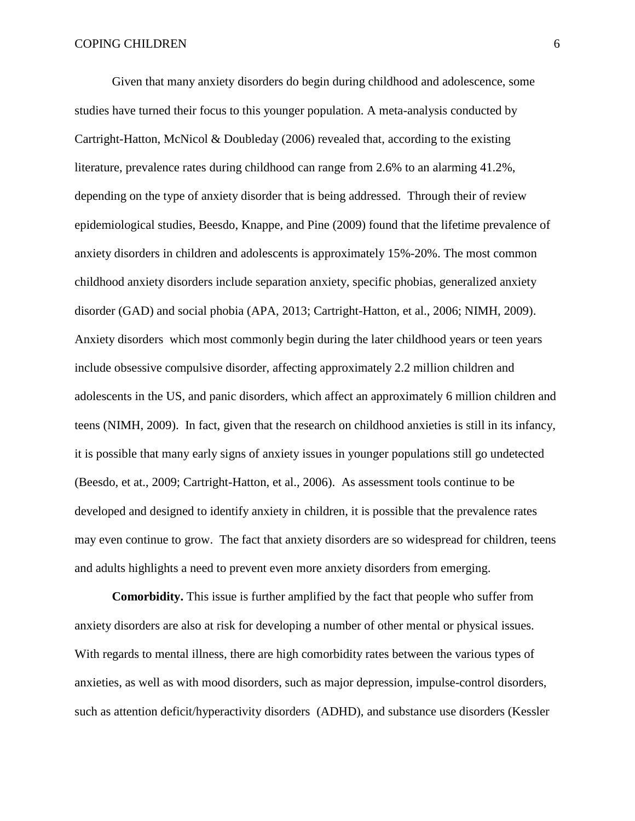Given that many anxiety disorders do begin during childhood and adolescence, some studies have turned their focus to this younger population. A meta-analysis conducted by Cartright-Hatton, McNicol & Doubleday (2006) revealed that, according to the existing literature, prevalence rates during childhood can range from 2.6% to an alarming 41.2%, depending on the type of anxiety disorder that is being addressed. Through their of review epidemiological studies, Beesdo, Knappe, and Pine (2009) found that the lifetime prevalence of anxiety disorders in children and adolescents is approximately 15%-20%. The most common childhood anxiety disorders include separation anxiety, specific phobias, generalized anxiety disorder (GAD) and social phobia (APA, 2013; Cartright-Hatton, et al., 2006; NIMH, 2009). Anxiety disorders which most commonly begin during the later childhood years or teen years include obsessive compulsive disorder, affecting approximately 2.2 million children and adolescents in the US, and panic disorders, which affect an approximately 6 million children and teens (NIMH, 2009). In fact, given that the research on childhood anxieties is still in its infancy, it is possible that many early signs of anxiety issues in younger populations still go undetected (Beesdo, et at., 2009; Cartright-Hatton, et al., 2006). As assessment tools continue to be developed and designed to identify anxiety in children, it is possible that the prevalence rates may even continue to grow. The fact that anxiety disorders are so widespread for children, teens and adults highlights a need to prevent even more anxiety disorders from emerging.

**Comorbidity.** This issue is further amplified by the fact that people who suffer from anxiety disorders are also at risk for developing a number of other mental or physical issues. With regards to mental illness, there are high comorbidity rates between the various types of anxieties, as well as with mood disorders, such as major depression, impulse-control disorders, such as attention deficit/hyperactivity disorders (ADHD), and substance use disorders (Kessler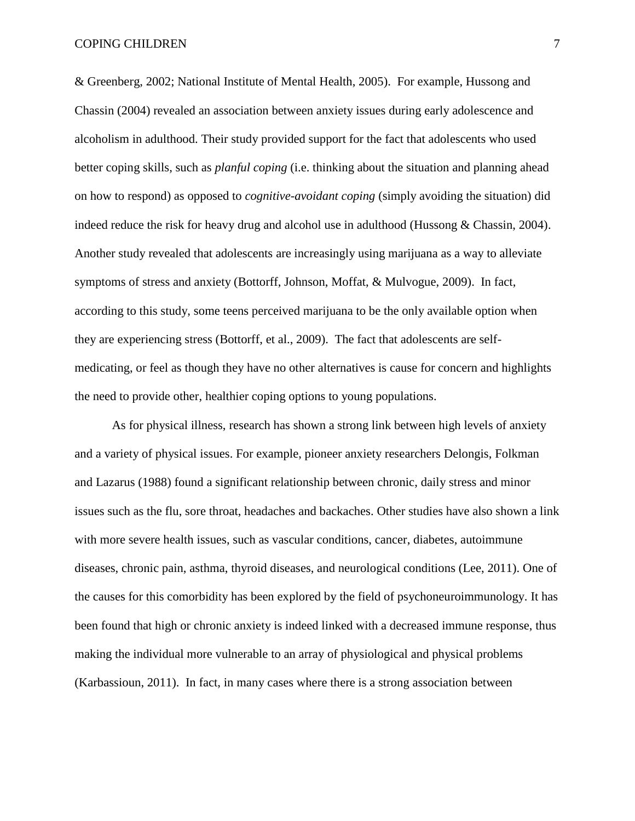& Greenberg, 2002; National Institute of Mental Health, 2005). For example, Hussong and Chassin (2004) revealed an association between anxiety issues during early adolescence and alcoholism in adulthood. Their study provided support for the fact that adolescents who used better coping skills, such as *planful coping* (i.e. thinking about the situation and planning ahead on how to respond) as opposed to *cognitive-avoidant coping* (simply avoiding the situation) did indeed reduce the risk for heavy drug and alcohol use in adulthood (Hussong & Chassin, 2004). Another study revealed that adolescents are increasingly using marijuana as a way to alleviate symptoms of stress and anxiety (Bottorff, Johnson, Moffat, & Mulvogue, 2009). In fact, according to this study, some teens perceived marijuana to be the only available option when they are experiencing stress (Bottorff, et al., 2009). The fact that adolescents are selfmedicating, or feel as though they have no other alternatives is cause for concern and highlights the need to provide other, healthier coping options to young populations.

As for physical illness, research has shown a strong link between high levels of anxiety and a variety of physical issues. For example, pioneer anxiety researchers Delongis, Folkman and Lazarus (1988) found a significant relationship between chronic, daily stress and minor issues such as the flu, sore throat, headaches and backaches. Other studies have also shown a link with more severe health issues, such as vascular conditions, cancer, diabetes, autoimmune diseases, chronic pain, asthma, thyroid diseases, and neurological conditions (Lee, 2011). One of the causes for this comorbidity has been explored by the field of psychoneuroimmunology. It has been found that high or chronic anxiety is indeed linked with a decreased immune response, thus making the individual more vulnerable to an array of physiological and physical problems (Karbassioun, 2011). In fact, in many cases where there is a strong association between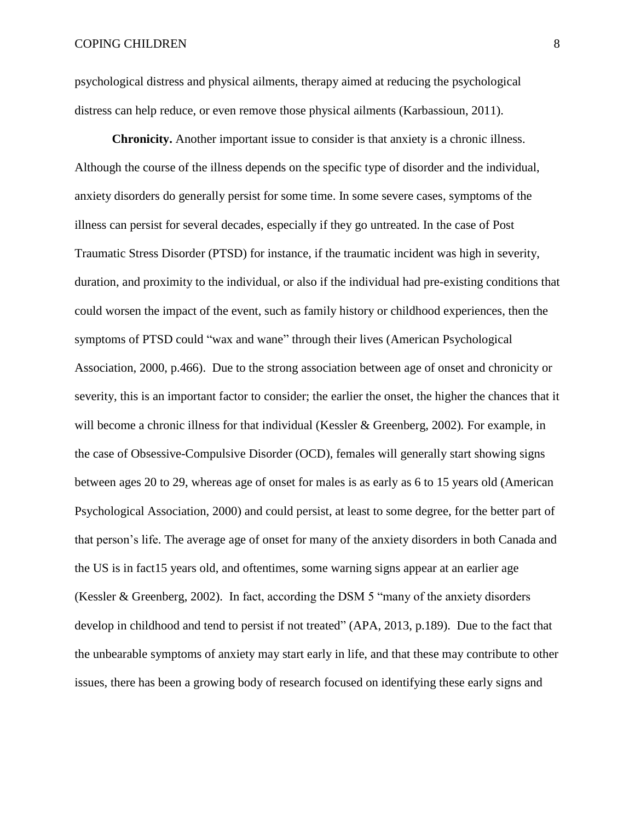psychological distress and physical ailments, therapy aimed at reducing the psychological distress can help reduce, or even remove those physical ailments (Karbassioun, 2011).

**Chronicity.** Another important issue to consider is that anxiety is a chronic illness. Although the course of the illness depends on the specific type of disorder and the individual, anxiety disorders do generally persist for some time. In some severe cases, symptoms of the illness can persist for several decades, especially if they go untreated. In the case of Post Traumatic Stress Disorder (PTSD) for instance, if the traumatic incident was high in severity, duration, and proximity to the individual, or also if the individual had pre-existing conditions that could worsen the impact of the event, such as family history or childhood experiences, then the symptoms of PTSD could "wax and wane" through their lives (American Psychological Association, 2000, p.466). Due to the strong association between age of onset and chronicity or severity, this is an important factor to consider; the earlier the onset, the higher the chances that it will become a chronic illness for that individual (Kessler & Greenberg, 2002)*.* For example, in the case of Obsessive-Compulsive Disorder (OCD), females will generally start showing signs between ages 20 to 29, whereas age of onset for males is as early as 6 to 15 years old (American Psychological Association, 2000) and could persist, at least to some degree, for the better part of that person's life. The average age of onset for many of the anxiety disorders in both Canada and the US is in fact15 years old, and oftentimes, some warning signs appear at an earlier age (Kessler & Greenberg, 2002). In fact, according the DSM 5 "many of the anxiety disorders develop in childhood and tend to persist if not treated" (APA, 2013, p.189). Due to the fact that the unbearable symptoms of anxiety may start early in life, and that these may contribute to other issues, there has been a growing body of research focused on identifying these early signs and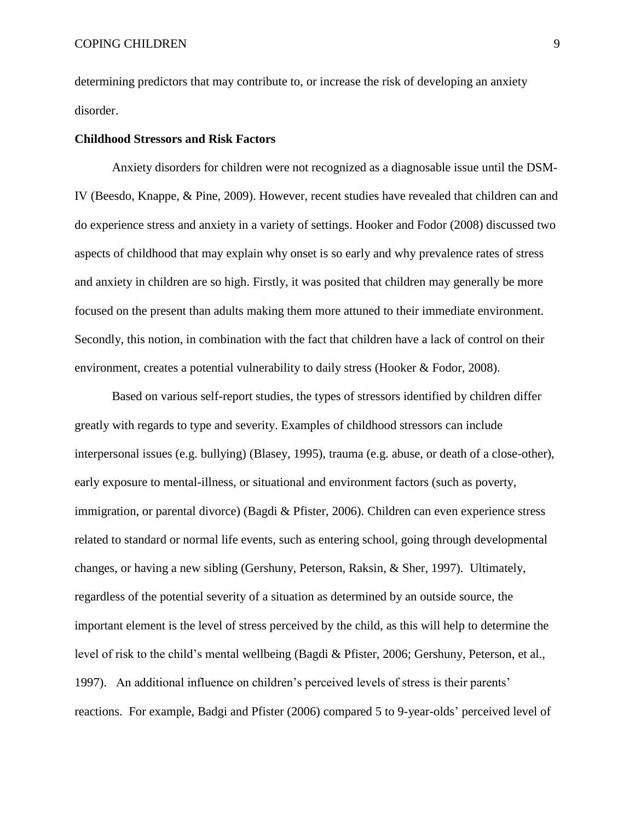determining predictors that may contribute to, or increase the risk of developing an anxiety disorder.

#### **Childhood Stressors and Risk Factors**

Anxiety disorders for children were not recognized as a diagnosable issue until the DSM-IV (Beesdo, Knappe, & Pine, 2009). However, recent studies have revealed that children can and do experience stress and anxiety in a variety of settings. Hooker and Fodor (2008) discussed two aspects of childhood that may explain why onset is so early and why prevalence rates of stress and anxiety in children are so high. Firstly, it was posited that children may generally be more focused on the present than adults making them more attuned to their immediate environment. Secondly, this notion, in combination with the fact that children have a lack of control on their environment, creates a potential vulnerability to daily stress (Hooker & Fodor, 2008).

Based on various self-report studies, the types of stressors identified by children differ greatly with regards to type and severity. Examples of childhood stressors can include interpersonal issues (e.g. bullying) (Blasey, 1995), trauma (e.g. abuse, or death of a close-other), early exposure to mental-illness, or situational and environment factors (such as poverty, immigration, or parental divorce) (Bagdi & Pfister, 2006). Children can even experience stress related to standard or normal life events, such as entering school, going through developmental changes, or having a new sibling (Gershuny, Peterson, Raksin, & Sher, 1997). Ultimately, regardless of the potential severity of a situation as determined by an outside source, the important element is the level of stress perceived by the child, as this will help to determine the level of risk to the child's mental wellbeing (Bagdi & Pfister, 2006; Gershuny, Peterson, et al., 1997). An additional influence on children's perceived levels of stress is their parents' reactions. For example, Badgi and Pfister (2006) compared 5 to 9-year-olds' perceived level of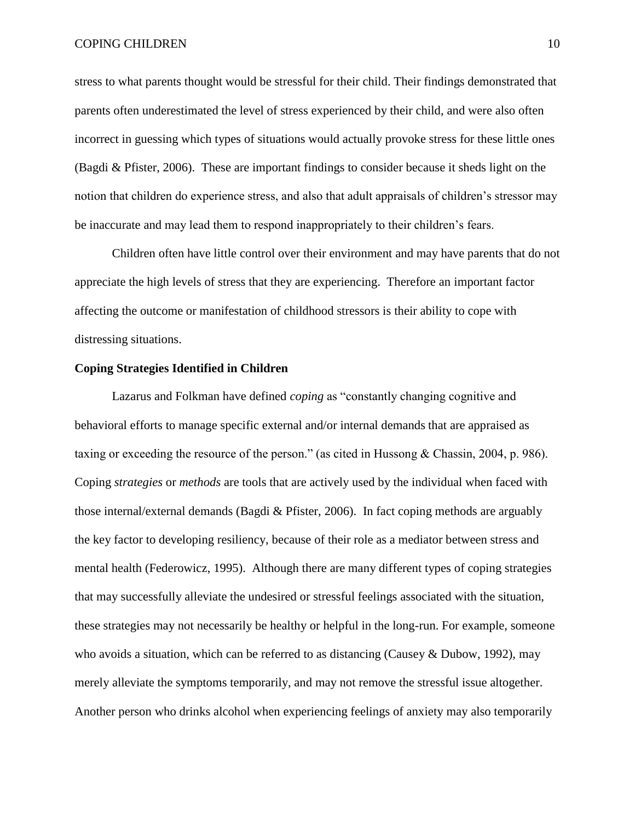#### COPING CHILDREN 10

stress to what parents thought would be stressful for their child. Their findings demonstrated that parents often underestimated the level of stress experienced by their child, and were also often incorrect in guessing which types of situations would actually provoke stress for these little ones (Bagdi & Pfister, 2006). These are important findings to consider because it sheds light on the notion that children do experience stress, and also that adult appraisals of children's stressor may be inaccurate and may lead them to respond inappropriately to their children's fears.

Children often have little control over their environment and may have parents that do not appreciate the high levels of stress that they are experiencing. Therefore an important factor affecting the outcome or manifestation of childhood stressors is their ability to cope with distressing situations.

#### **Coping Strategies Identified in Children**

Lazarus and Folkman have defined *coping* as "constantly changing cognitive and behavioral efforts to manage specific external and/or internal demands that are appraised as taxing or exceeding the resource of the person." (as cited in Hussong & Chassin, 2004, p. 986). Coping *strategies* or *methods* are tools that are actively used by the individual when faced with those internal/external demands (Bagdi & Pfister, 2006). In fact coping methods are arguably the key factor to developing resiliency, because of their role as a mediator between stress and mental health (Federowicz, 1995). Although there are many different types of coping strategies that may successfully alleviate the undesired or stressful feelings associated with the situation, these strategies may not necessarily be healthy or helpful in the long-run. For example, someone who avoids a situation, which can be referred to as distancing (Causey & Dubow, 1992), may merely alleviate the symptoms temporarily, and may not remove the stressful issue altogether. Another person who drinks alcohol when experiencing feelings of anxiety may also temporarily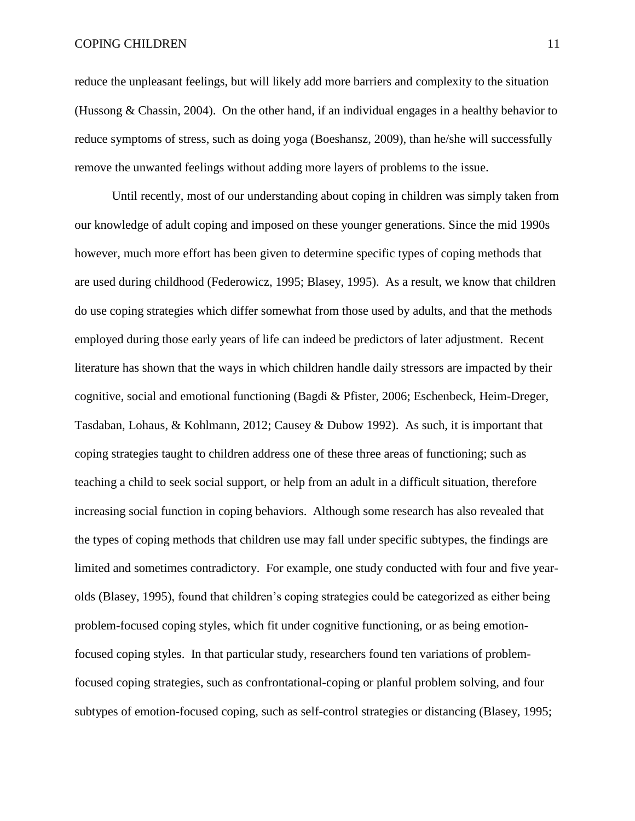reduce the unpleasant feelings, but will likely add more barriers and complexity to the situation (Hussong & Chassin, 2004). On the other hand, if an individual engages in a healthy behavior to reduce symptoms of stress, such as doing yoga (Boeshansz, 2009), than he/she will successfully remove the unwanted feelings without adding more layers of problems to the issue.

Until recently, most of our understanding about coping in children was simply taken from our knowledge of adult coping and imposed on these younger generations. Since the mid 1990s however, much more effort has been given to determine specific types of coping methods that are used during childhood (Federowicz, 1995; Blasey, 1995). As a result, we know that children do use coping strategies which differ somewhat from those used by adults, and that the methods employed during those early years of life can indeed be predictors of later adjustment. Recent literature has shown that the ways in which children handle daily stressors are impacted by their cognitive, social and emotional functioning (Bagdi & Pfister, 2006; Eschenbeck, Heim-Dreger, Tasdaban, Lohaus, & Kohlmann, 2012; Causey & Dubow 1992). As such, it is important that coping strategies taught to children address one of these three areas of functioning; such as teaching a child to seek social support, or help from an adult in a difficult situation, therefore increasing social function in coping behaviors. Although some research has also revealed that the types of coping methods that children use may fall under specific subtypes, the findings are limited and sometimes contradictory. For example, one study conducted with four and five yearolds (Blasey, 1995), found that children's coping strategies could be categorized as either being problem-focused coping styles, which fit under cognitive functioning, or as being emotionfocused coping styles. In that particular study, researchers found ten variations of problemfocused coping strategies, such as confrontational-coping or planful problem solving, and four subtypes of emotion-focused coping, such as self-control strategies or distancing (Blasey, 1995;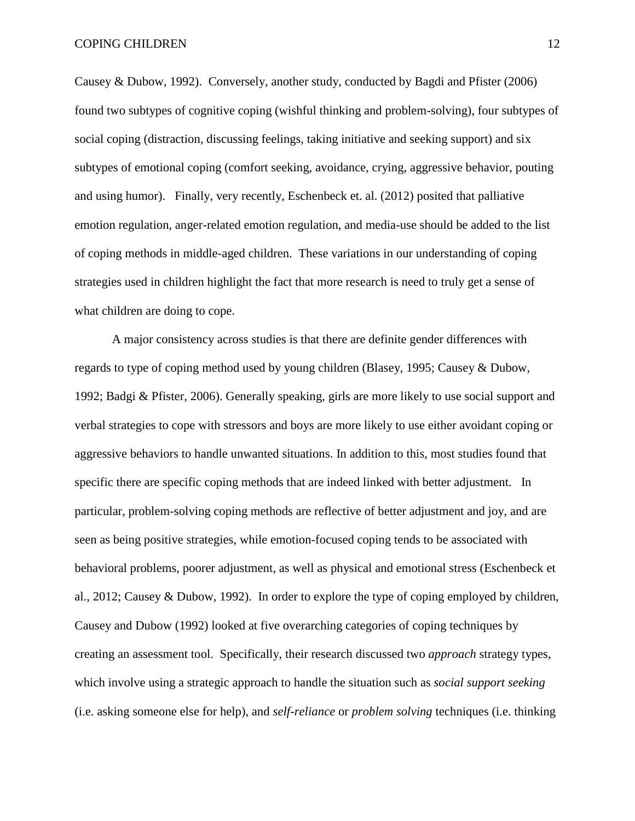Causey & Dubow, 1992). Conversely, another study, conducted by Bagdi and Pfister (2006) found two subtypes of cognitive coping (wishful thinking and problem-solving), four subtypes of social coping (distraction, discussing feelings, taking initiative and seeking support) and six subtypes of emotional coping (comfort seeking, avoidance, crying, aggressive behavior, pouting and using humor). Finally, very recently, Eschenbeck et. al. (2012) posited that palliative emotion regulation, anger-related emotion regulation, and media-use should be added to the list of coping methods in middle-aged children. These variations in our understanding of coping strategies used in children highlight the fact that more research is need to truly get a sense of what children are doing to cope.

A major consistency across studies is that there are definite gender differences with regards to type of coping method used by young children (Blasey, 1995; Causey & Dubow, 1992; Badgi & Pfister, 2006). Generally speaking, girls are more likely to use social support and verbal strategies to cope with stressors and boys are more likely to use either avoidant coping or aggressive behaviors to handle unwanted situations. In addition to this, most studies found that specific there are specific coping methods that are indeed linked with better adjustment. In particular, problem-solving coping methods are reflective of better adjustment and joy, and are seen as being positive strategies, while emotion-focused coping tends to be associated with behavioral problems, poorer adjustment, as well as physical and emotional stress (Eschenbeck et al., 2012; Causey & Dubow, 1992). In order to explore the type of coping employed by children, Causey and Dubow (1992) looked at five overarching categories of coping techniques by creating an assessment tool. Specifically, their research discussed two *approach* strategy types, which involve using a strategic approach to handle the situation such as *social support seeking*  (i.e. asking someone else for help), and *self-reliance* or *problem solving* techniques (i.e. thinking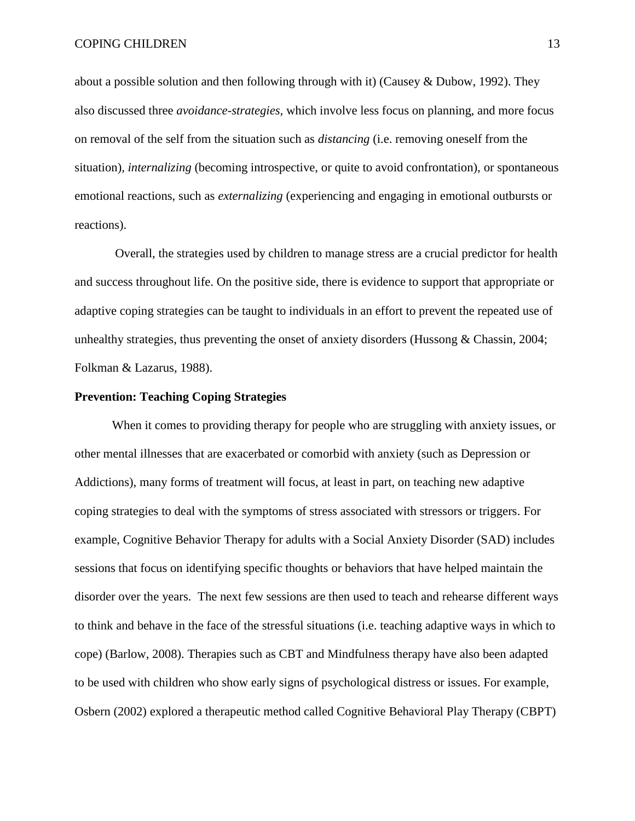about a possible solution and then following through with it) (Causey & Dubow, 1992). They also discussed three *avoidance-strategies,* which involve less focus on planning, and more focus on removal of the self from the situation such as *distancing* (i.e. removing oneself from the situation)*, internalizing* (becoming introspective, or quite to avoid confrontation), or spontaneous emotional reactions, such as *externalizing* (experiencing and engaging in emotional outbursts or reactions).

Overall, the strategies used by children to manage stress are a crucial predictor for health and success throughout life. On the positive side, there is evidence to support that appropriate or adaptive coping strategies can be taught to individuals in an effort to prevent the repeated use of unhealthy strategies, thus preventing the onset of anxiety disorders (Hussong & Chassin, 2004; Folkman & Lazarus, 1988).

#### **Prevention: Teaching Coping Strategies**

When it comes to providing therapy for people who are struggling with anxiety issues, or other mental illnesses that are exacerbated or comorbid with anxiety (such as Depression or Addictions), many forms of treatment will focus, at least in part, on teaching new adaptive coping strategies to deal with the symptoms of stress associated with stressors or triggers. For example, Cognitive Behavior Therapy for adults with a Social Anxiety Disorder (SAD) includes sessions that focus on identifying specific thoughts or behaviors that have helped maintain the disorder over the years. The next few sessions are then used to teach and rehearse different ways to think and behave in the face of the stressful situations (i.e. teaching adaptive ways in which to cope) (Barlow, 2008). Therapies such as CBT and Mindfulness therapy have also been adapted to be used with children who show early signs of psychological distress or issues. For example, Osbern (2002) explored a therapeutic method called Cognitive Behavioral Play Therapy (CBPT)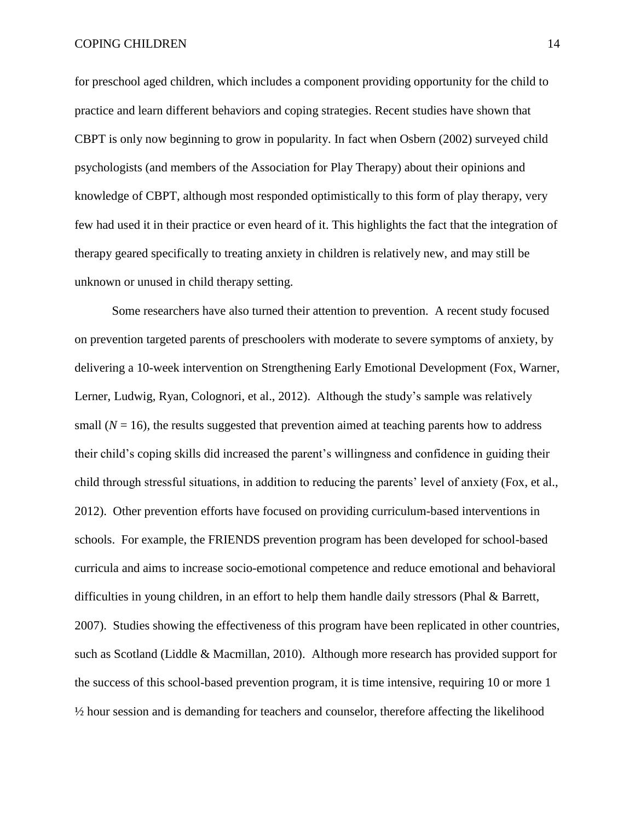for preschool aged children, which includes a component providing opportunity for the child to practice and learn different behaviors and coping strategies. Recent studies have shown that CBPT is only now beginning to grow in popularity. In fact when Osbern (2002) surveyed child psychologists (and members of the Association for Play Therapy) about their opinions and knowledge of CBPT, although most responded optimistically to this form of play therapy, very few had used it in their practice or even heard of it. This highlights the fact that the integration of therapy geared specifically to treating anxiety in children is relatively new, and may still be unknown or unused in child therapy setting.

Some researchers have also turned their attention to prevention. A recent study focused on prevention targeted parents of preschoolers with moderate to severe symptoms of anxiety, by delivering a 10-week intervention on Strengthening Early Emotional Development (Fox, Warner, Lerner, Ludwig, Ryan, Colognori, et al., 2012). Although the study's sample was relatively small  $(N = 16)$ , the results suggested that prevention aimed at teaching parents how to address their child's coping skills did increased the parent's willingness and confidence in guiding their child through stressful situations, in addition to reducing the parents' level of anxiety (Fox, et al., 2012). Other prevention efforts have focused on providing curriculum-based interventions in schools. For example, the FRIENDS prevention program has been developed for school-based curricula and aims to increase socio-emotional competence and reduce emotional and behavioral difficulties in young children, in an effort to help them handle daily stressors (Phal & Barrett, 2007). Studies showing the effectiveness of this program have been replicated in other countries, such as Scotland (Liddle & Macmillan, 2010). Although more research has provided support for the success of this school-based prevention program, it is time intensive, requiring 10 or more 1 ½ hour session and is demanding for teachers and counselor, therefore affecting the likelihood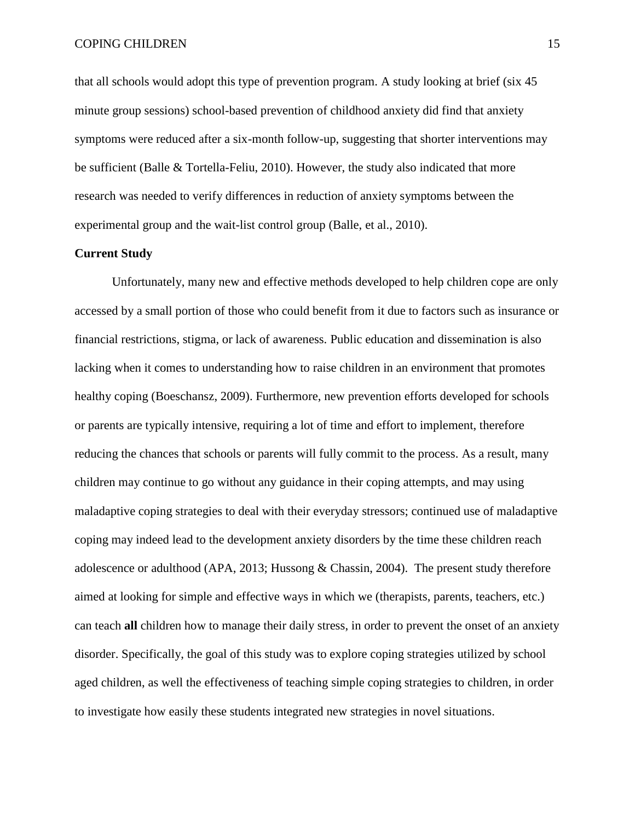that all schools would adopt this type of prevention program. A study looking at brief (six 45 minute group sessions) school-based prevention of childhood anxiety did find that anxiety symptoms were reduced after a six-month follow-up, suggesting that shorter interventions may be sufficient (Balle & Tortella-Feliu, 2010). However, the study also indicated that more research was needed to verify differences in reduction of anxiety symptoms between the experimental group and the wait-list control group (Balle, et al., 2010).

#### **Current Study**

Unfortunately, many new and effective methods developed to help children cope are only accessed by a small portion of those who could benefit from it due to factors such as insurance or financial restrictions, stigma, or lack of awareness. Public education and dissemination is also lacking when it comes to understanding how to raise children in an environment that promotes healthy coping (Boeschansz, 2009). Furthermore, new prevention efforts developed for schools or parents are typically intensive, requiring a lot of time and effort to implement, therefore reducing the chances that schools or parents will fully commit to the process. As a result, many children may continue to go without any guidance in their coping attempts, and may using maladaptive coping strategies to deal with their everyday stressors; continued use of maladaptive coping may indeed lead to the development anxiety disorders by the time these children reach adolescence or adulthood (APA, 2013; Hussong & Chassin, 2004). The present study therefore aimed at looking for simple and effective ways in which we (therapists, parents, teachers, etc.) can teach **all** children how to manage their daily stress, in order to prevent the onset of an anxiety disorder. Specifically, the goal of this study was to explore coping strategies utilized by school aged children, as well the effectiveness of teaching simple coping strategies to children, in order to investigate how easily these students integrated new strategies in novel situations.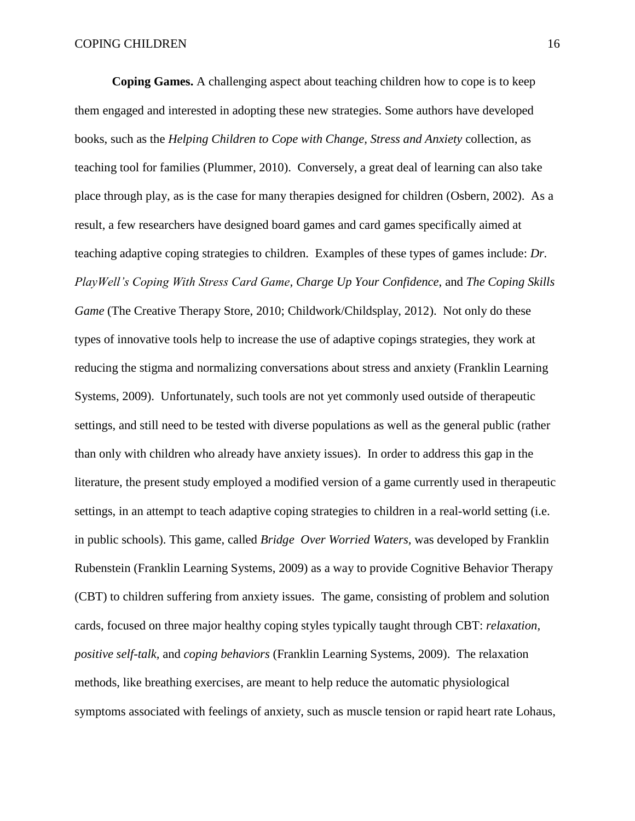**Coping Games.** A challenging aspect about teaching children how to cope is to keep them engaged and interested in adopting these new strategies. Some authors have developed books, such as the *Helping Children to Cope with Change, Stress and Anxiety* collection, as teaching tool for families (Plummer, 2010). Conversely, a great deal of learning can also take place through play, as is the case for many therapies designed for children (Osbern, 2002). As a result, a few researchers have designed board games and card games specifically aimed at teaching adaptive coping strategies to children. Examples of these types of games include: *Dr. PlayWell's Coping With Stress Card Game, Charge Up Your Confidence*, and *The Coping Skills Game* (The Creative Therapy Store, 2010; Childwork/Childsplay, 2012). Not only do these types of innovative tools help to increase the use of adaptive copings strategies, they work at reducing the stigma and normalizing conversations about stress and anxiety (Franklin Learning Systems, 2009). Unfortunately, such tools are not yet commonly used outside of therapeutic settings, and still need to be tested with diverse populations as well as the general public (rather than only with children who already have anxiety issues). In order to address this gap in the literature, the present study employed a modified version of a game currently used in therapeutic settings, in an attempt to teach adaptive coping strategies to children in a real-world setting (i.e. in public schools). This game, called *Bridge Over Worried Waters,* was developed by Franklin Rubenstein (Franklin Learning Systems, 2009) as a way to provide Cognitive Behavior Therapy (CBT) to children suffering from anxiety issues. The game, consisting of problem and solution cards, focused on three major healthy coping styles typically taught through CBT: *relaxation, positive self-talk,* and *coping behaviors* (Franklin Learning Systems, 2009). The relaxation methods, like breathing exercises, are meant to help reduce the automatic physiological symptoms associated with feelings of anxiety, such as muscle tension or rapid heart rate Lohaus,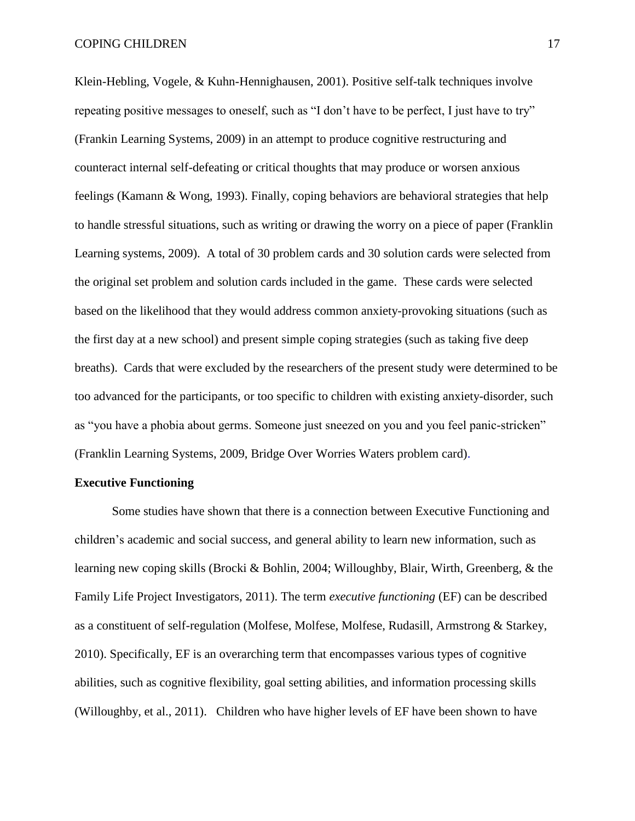Klein-Hebling, Vogele, & Kuhn-Hennighausen, 2001). Positive self-talk techniques involve repeating positive messages to oneself, such as "I don't have to be perfect, I just have to try" (Frankin Learning Systems, 2009) in an attempt to produce cognitive restructuring and counteract internal self-defeating or critical thoughts that may produce or worsen anxious feelings (Kamann & Wong, 1993). Finally, coping behaviors are behavioral strategies that help to handle stressful situations, such as writing or drawing the worry on a piece of paper (Franklin Learning systems, 2009). A total of 30 problem cards and 30 solution cards were selected from the original set problem and solution cards included in the game. These cards were selected based on the likelihood that they would address common anxiety-provoking situations (such as the first day at a new school) and present simple coping strategies (such as taking five deep breaths). Cards that were excluded by the researchers of the present study were determined to be too advanced for the participants, or too specific to children with existing anxiety-disorder, such as "you have a phobia about germs. Someone just sneezed on you and you feel panic-stricken" (Franklin Learning Systems, 2009, Bridge Over Worries Waters problem card).

#### **Executive Functioning**

Some studies have shown that there is a connection between Executive Functioning and children's academic and social success, and general ability to learn new information, such as learning new coping skills (Brocki & Bohlin, 2004; Willoughby, Blair, Wirth, Greenberg, & the Family Life Project Investigators, 2011). The term *executive functioning* (EF) can be described as a constituent of self-regulation (Molfese, Molfese, Molfese, Rudasill, Armstrong & Starkey, 2010). Specifically, EF is an overarching term that encompasses various types of cognitive abilities, such as cognitive flexibility, goal setting abilities, and information processing skills (Willoughby, et al., 2011). Children who have higher levels of EF have been shown to have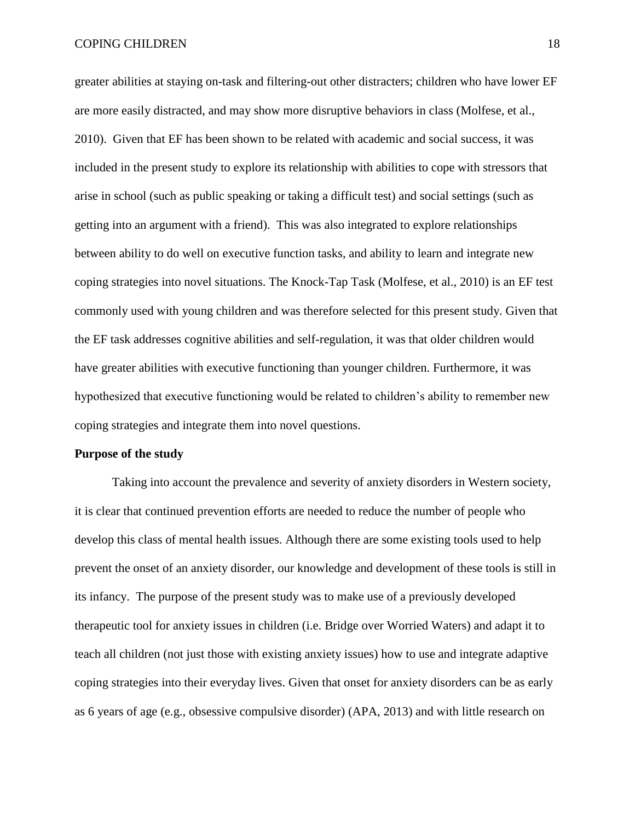#### COPING CHILDREN 18

greater abilities at staying on-task and filtering-out other distracters; children who have lower EF are more easily distracted, and may show more disruptive behaviors in class (Molfese, et al., 2010). Given that EF has been shown to be related with academic and social success, it was included in the present study to explore its relationship with abilities to cope with stressors that arise in school (such as public speaking or taking a difficult test) and social settings (such as getting into an argument with a friend). This was also integrated to explore relationships between ability to do well on executive function tasks, and ability to learn and integrate new coping strategies into novel situations. The Knock-Tap Task (Molfese, et al., 2010) is an EF test commonly used with young children and was therefore selected for this present study. Given that the EF task addresses cognitive abilities and self-regulation, it was that older children would have greater abilities with executive functioning than younger children. Furthermore, it was hypothesized that executive functioning would be related to children's ability to remember new coping strategies and integrate them into novel questions.

#### **Purpose of the study**

Taking into account the prevalence and severity of anxiety disorders in Western society, it is clear that continued prevention efforts are needed to reduce the number of people who develop this class of mental health issues. Although there are some existing tools used to help prevent the onset of an anxiety disorder, our knowledge and development of these tools is still in its infancy. The purpose of the present study was to make use of a previously developed therapeutic tool for anxiety issues in children (i.e. Bridge over Worried Waters) and adapt it to teach all children (not just those with existing anxiety issues) how to use and integrate adaptive coping strategies into their everyday lives. Given that onset for anxiety disorders can be as early as 6 years of age (e.g., obsessive compulsive disorder) (APA, 2013) and with little research on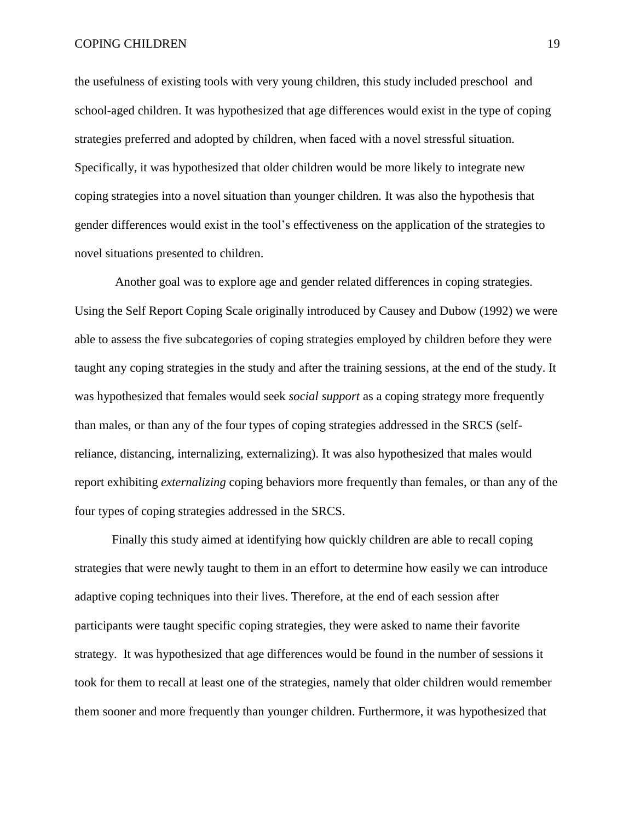#### COPING CHILDREN 19

the usefulness of existing tools with very young children, this study included preschool and school-aged children. It was hypothesized that age differences would exist in the type of coping strategies preferred and adopted by children, when faced with a novel stressful situation. Specifically, it was hypothesized that older children would be more likely to integrate new coping strategies into a novel situation than younger children. It was also the hypothesis that gender differences would exist in the tool's effectiveness on the application of the strategies to novel situations presented to children.

Another goal was to explore age and gender related differences in coping strategies. Using the Self Report Coping Scale originally introduced by Causey and Dubow (1992) we were able to assess the five subcategories of coping strategies employed by children before they were taught any coping strategies in the study and after the training sessions, at the end of the study. It was hypothesized that females would seek *social support* as a coping strategy more frequently than males, or than any of the four types of coping strategies addressed in the SRCS (selfreliance, distancing, internalizing, externalizing). It was also hypothesized that males would report exhibiting *externalizing* coping behaviors more frequently than females, or than any of the four types of coping strategies addressed in the SRCS.

Finally this study aimed at identifying how quickly children are able to recall coping strategies that were newly taught to them in an effort to determine how easily we can introduce adaptive coping techniques into their lives. Therefore, at the end of each session after participants were taught specific coping strategies, they were asked to name their favorite strategy. It was hypothesized that age differences would be found in the number of sessions it took for them to recall at least one of the strategies, namely that older children would remember them sooner and more frequently than younger children. Furthermore, it was hypothesized that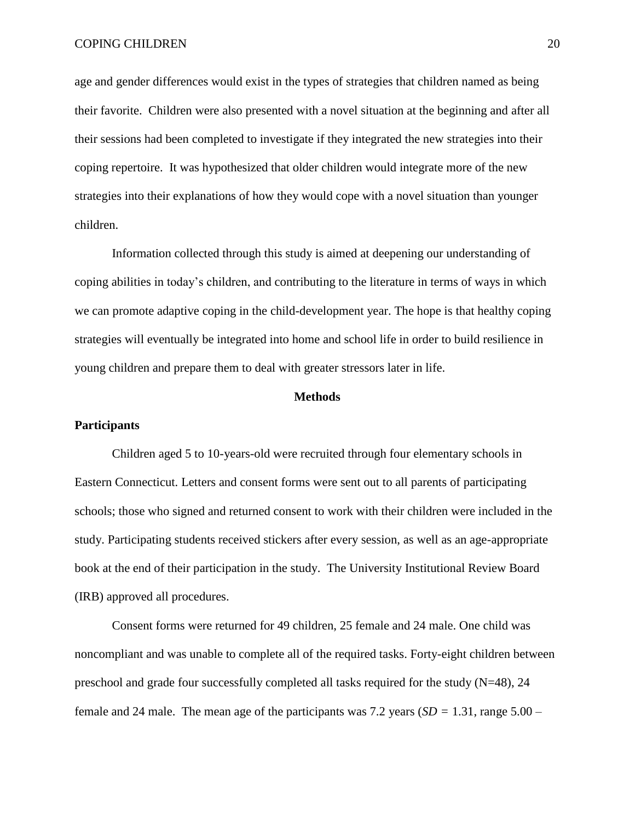age and gender differences would exist in the types of strategies that children named as being their favorite. Children were also presented with a novel situation at the beginning and after all their sessions had been completed to investigate if they integrated the new strategies into their coping repertoire. It was hypothesized that older children would integrate more of the new strategies into their explanations of how they would cope with a novel situation than younger children.

Information collected through this study is aimed at deepening our understanding of coping abilities in today's children, and contributing to the literature in terms of ways in which we can promote adaptive coping in the child-development year. The hope is that healthy coping strategies will eventually be integrated into home and school life in order to build resilience in young children and prepare them to deal with greater stressors later in life.

#### **Methods**

#### **Participants**

Children aged 5 to 10-years-old were recruited through four elementary schools in Eastern Connecticut. Letters and consent forms were sent out to all parents of participating schools; those who signed and returned consent to work with their children were included in the study. Participating students received stickers after every session, as well as an age-appropriate book at the end of their participation in the study. The University Institutional Review Board (IRB) approved all procedures.

Consent forms were returned for 49 children, 25 female and 24 male. One child was noncompliant and was unable to complete all of the required tasks. Forty-eight children between preschool and grade four successfully completed all tasks required for the study (N=48), 24 female and 24 male. The mean age of the participants was 7.2 years (*SD =* 1.31, range 5.00 –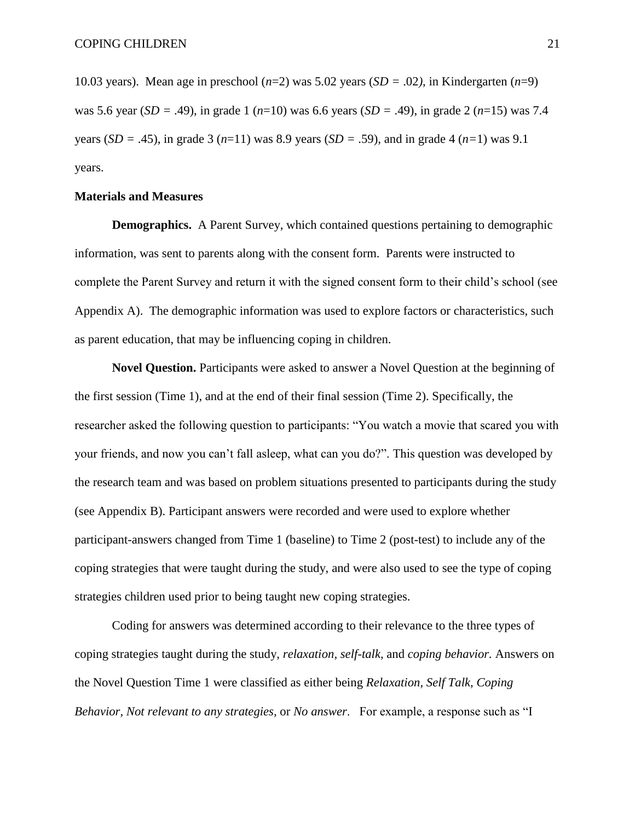10.03 years). Mean age in preschool (*n*=2) was 5.02 years (*SD =* .02*)*, in Kindergarten (*n*=9) was 5.6 year (*SD =* .49), in grade 1 (*n*=10) was 6.6 years (*SD =* .49), in grade 2 (*n*=15) was 7.4 years (*SD =* .45), in grade 3 (*n*=11) was 8.9 years (*SD =* .59), and in grade 4 (*n=*1) was 9.1 years.

#### **Materials and Measures**

**Demographics.** A Parent Survey, which contained questions pertaining to demographic information, was sent to parents along with the consent form. Parents were instructed to complete the Parent Survey and return it with the signed consent form to their child's school (see Appendix A). The demographic information was used to explore factors or characteristics, such as parent education, that may be influencing coping in children.

**Novel Question.** Participants were asked to answer a Novel Question at the beginning of the first session (Time 1), and at the end of their final session (Time 2). Specifically, the researcher asked the following question to participants: "You watch a movie that scared you with your friends, and now you can't fall asleep, what can you do?". This question was developed by the research team and was based on problem situations presented to participants during the study (see Appendix B). Participant answers were recorded and were used to explore whether participant-answers changed from Time 1 (baseline) to Time 2 (post-test) to include any of the coping strategies that were taught during the study, and were also used to see the type of coping strategies children used prior to being taught new coping strategies.

Coding for answers was determined according to their relevance to the three types of coping strategies taught during the study, *relaxation, self-talk,* and *coping behavior.* Answers on the Novel Question Time 1 were classified as either being *Relaxation, Self Talk, Coping Behavior, Not relevant to any strategies,* or *No answer*. For example, a response such as "I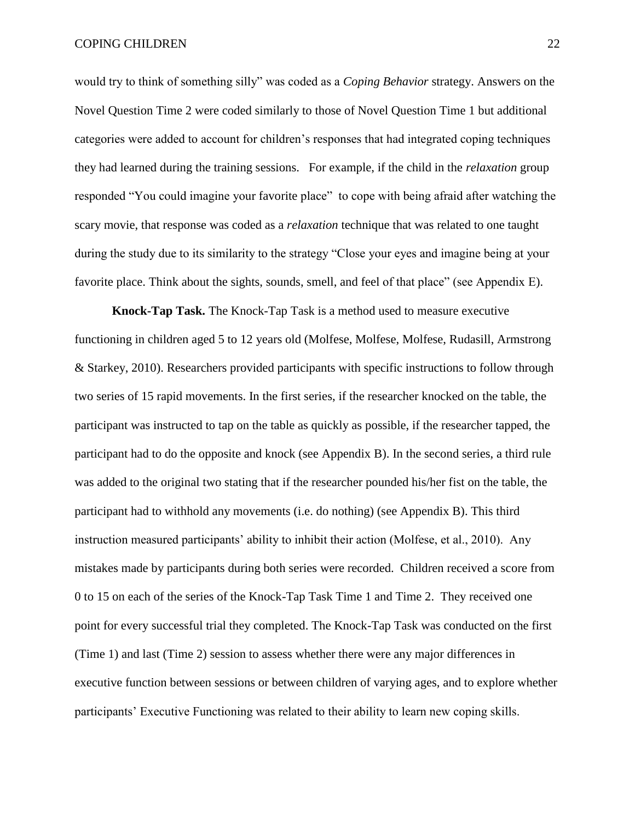would try to think of something silly" was coded as a *Coping Behavior* strategy. Answers on the Novel Question Time 2 were coded similarly to those of Novel Question Time 1 but additional categories were added to account for children's responses that had integrated coping techniques they had learned during the training sessions. For example, if the child in the *relaxation* group responded "You could imagine your favorite place" to cope with being afraid after watching the scary movie, that response was coded as a *relaxation* technique that was related to one taught during the study due to its similarity to the strategy "Close your eyes and imagine being at your favorite place. Think about the sights, sounds, smell, and feel of that place" (see Appendix E).

**Knock-Tap Task.** The Knock-Tap Task is a method used to measure executive functioning in children aged 5 to 12 years old (Molfese, Molfese, Molfese, Rudasill, Armstrong & Starkey, 2010). Researchers provided participants with specific instructions to follow through two series of 15 rapid movements. In the first series, if the researcher knocked on the table, the participant was instructed to tap on the table as quickly as possible, if the researcher tapped, the participant had to do the opposite and knock (see Appendix B). In the second series, a third rule was added to the original two stating that if the researcher pounded his/her fist on the table, the participant had to withhold any movements (i.e. do nothing) (see Appendix B). This third instruction measured participants' ability to inhibit their action (Molfese, et al., 2010). Any mistakes made by participants during both series were recorded. Children received a score from 0 to 15 on each of the series of the Knock-Tap Task Time 1 and Time 2. They received one point for every successful trial they completed. The Knock-Tap Task was conducted on the first (Time 1) and last (Time 2) session to assess whether there were any major differences in executive function between sessions or between children of varying ages, and to explore whether participants' Executive Functioning was related to their ability to learn new coping skills.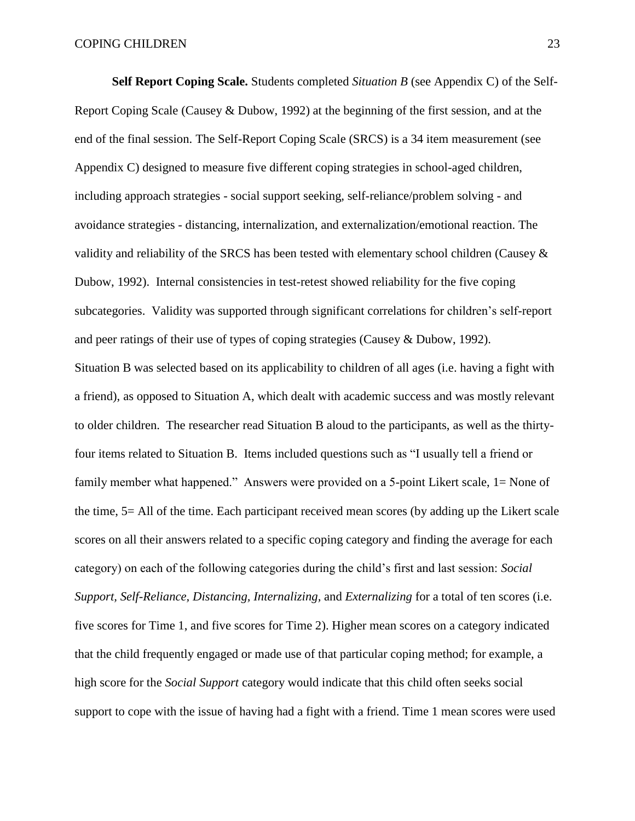**Self Report Coping Scale.** Students completed *Situation B* (see Appendix C) of the Self-Report Coping Scale (Causey & Dubow, 1992) at the beginning of the first session, and at the end of the final session. The Self-Report Coping Scale (SRCS) is a 34 item measurement (see Appendix C) designed to measure five different coping strategies in school-aged children, including approach strategies - social support seeking, self-reliance/problem solving - and avoidance strategies - distancing, internalization, and externalization/emotional reaction. The validity and reliability of the SRCS has been tested with elementary school children (Causey & Dubow, 1992). Internal consistencies in test-retest showed reliability for the five coping subcategories. Validity was supported through significant correlations for children's self-report and peer ratings of their use of types of coping strategies (Causey & Dubow, 1992). Situation B was selected based on its applicability to children of all ages (i.e. having a fight with a friend), as opposed to Situation A, which dealt with academic success and was mostly relevant to older children. The researcher read Situation B aloud to the participants, as well as the thirtyfour items related to Situation B. Items included questions such as "I usually tell a friend or family member what happened." Answers were provided on a 5-point Likert scale, 1= None of the time, 5= All of the time. Each participant received mean scores (by adding up the Likert scale scores on all their answers related to a specific coping category and finding the average for each category) on each of the following categories during the child's first and last session: *Social Support, Self-Reliance, Distancing, Internalizing,* and *Externalizing* for a total of ten scores (i.e. five scores for Time 1, and five scores for Time 2). Higher mean scores on a category indicated that the child frequently engaged or made use of that particular coping method; for example, a high score for the *Social Support* category would indicate that this child often seeks social support to cope with the issue of having had a fight with a friend. Time 1 mean scores were used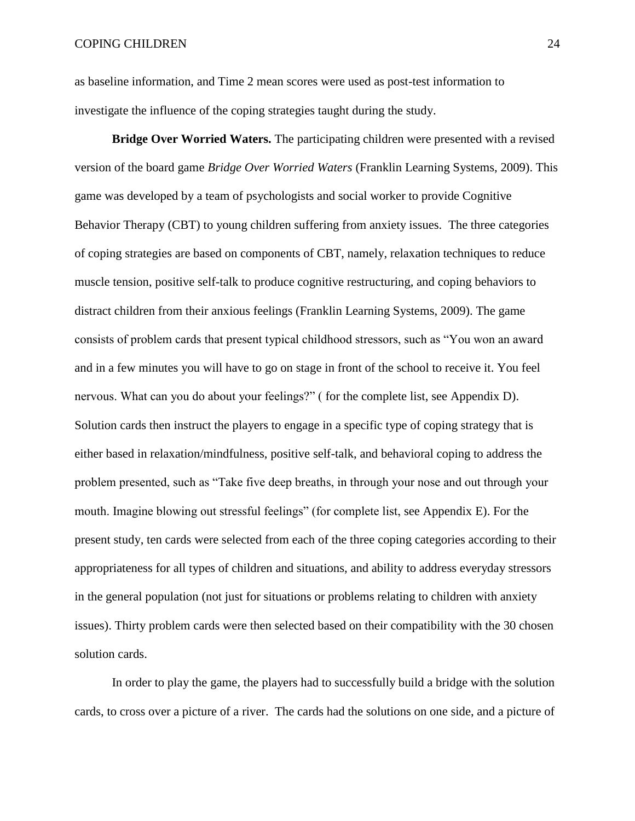as baseline information, and Time 2 mean scores were used as post-test information to investigate the influence of the coping strategies taught during the study.

**Bridge Over Worried Waters.** The participating children were presented with a revised version of the board game *Bridge Over Worried Waters* (Franklin Learning Systems, 2009). This game was developed by a team of psychologists and social worker to provide Cognitive Behavior Therapy (CBT) to young children suffering from anxiety issues. The three categories of coping strategies are based on components of CBT, namely, relaxation techniques to reduce muscle tension, positive self-talk to produce cognitive restructuring, and coping behaviors to distract children from their anxious feelings (Franklin Learning Systems, 2009). The game consists of problem cards that present typical childhood stressors, such as "You won an award and in a few minutes you will have to go on stage in front of the school to receive it. You feel nervous. What can you do about your feelings?" ( for the complete list, see Appendix D). Solution cards then instruct the players to engage in a specific type of coping strategy that is either based in relaxation/mindfulness, positive self-talk, and behavioral coping to address the problem presented, such as "Take five deep breaths, in through your nose and out through your mouth. Imagine blowing out stressful feelings" (for complete list, see Appendix E). For the present study, ten cards were selected from each of the three coping categories according to their appropriateness for all types of children and situations, and ability to address everyday stressors in the general population (not just for situations or problems relating to children with anxiety issues). Thirty problem cards were then selected based on their compatibility with the 30 chosen solution cards.

In order to play the game, the players had to successfully build a bridge with the solution cards, to cross over a picture of a river. The cards had the solutions on one side, and a picture of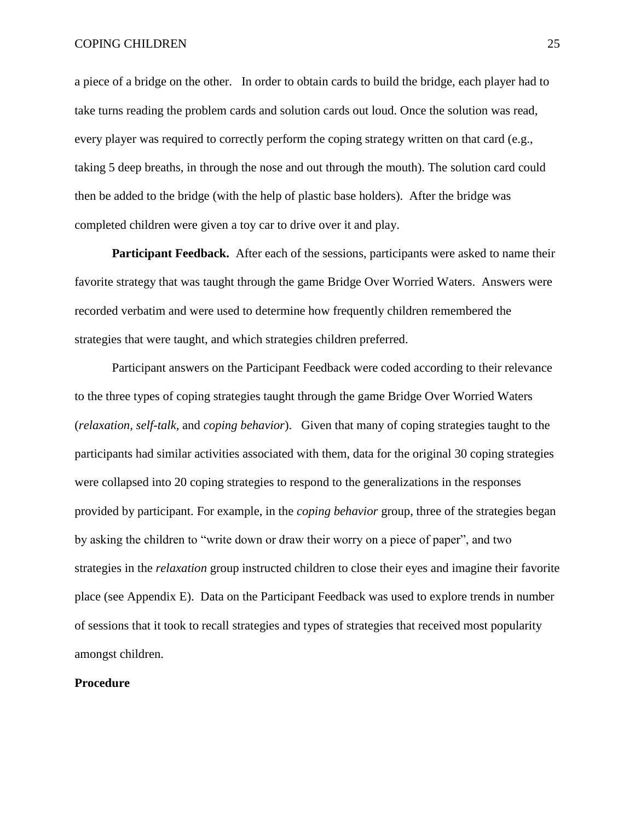a piece of a bridge on the other. In order to obtain cards to build the bridge, each player had to take turns reading the problem cards and solution cards out loud. Once the solution was read, every player was required to correctly perform the coping strategy written on that card (e.g., taking 5 deep breaths, in through the nose and out through the mouth). The solution card could then be added to the bridge (with the help of plastic base holders). After the bridge was completed children were given a toy car to drive over it and play.

**Participant Feedback.** After each of the sessions, participants were asked to name their favorite strategy that was taught through the game Bridge Over Worried Waters. Answers were recorded verbatim and were used to determine how frequently children remembered the strategies that were taught, and which strategies children preferred.

Participant answers on the Participant Feedback were coded according to their relevance to the three types of coping strategies taught through the game Bridge Over Worried Waters (*relaxation, self-talk,* and *coping behavior*). Given that many of coping strategies taught to the participants had similar activities associated with them, data for the original 30 coping strategies were collapsed into 20 coping strategies to respond to the generalizations in the responses provided by participant. For example, in the *coping behavior* group, three of the strategies began by asking the children to "write down or draw their worry on a piece of paper", and two strategies in the *relaxation* group instructed children to close their eyes and imagine their favorite place (see Appendix E). Data on the Participant Feedback was used to explore trends in number of sessions that it took to recall strategies and types of strategies that received most popularity amongst children.

#### **Procedure**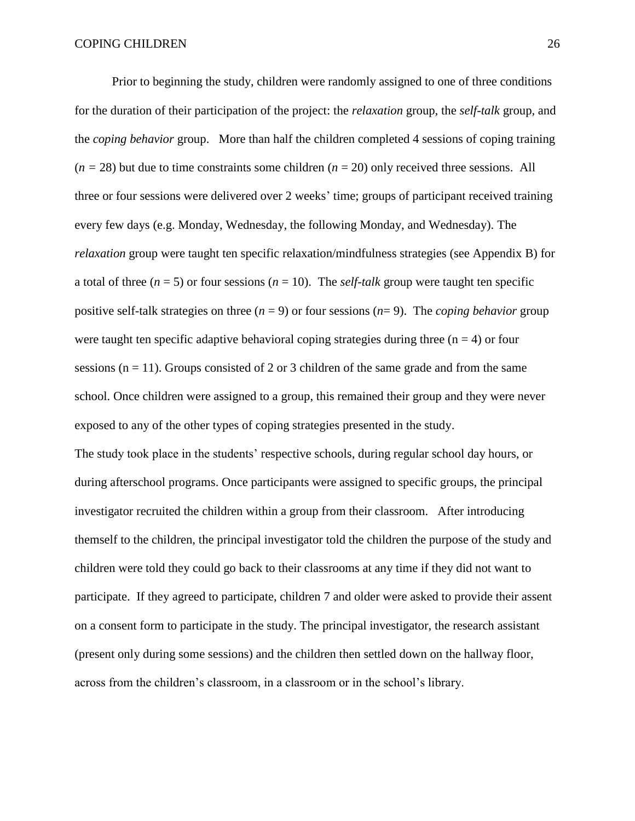Prior to beginning the study, children were randomly assigned to one of three conditions for the duration of their participation of the project: the *relaxation* group*,* the *self-talk* group*,* and the *coping behavior* group. More than half the children completed 4 sessions of coping training  $(n = 28)$  but due to time constraints some children  $(n = 20)$  only received three sessions. All three or four sessions were delivered over 2 weeks' time; groups of participant received training every few days (e.g. Monday, Wednesday, the following Monday, and Wednesday). The *relaxation* group were taught ten specific relaxation/mindfulness strategies (see Appendix B) for a total of three  $(n = 5)$  or four sessions  $(n = 10)$ . The *self-talk* group were taught ten specific positive self-talk strategies on three  $(n = 9)$  or four sessions  $(n = 9)$ . The *coping behavior* group were taught ten specific adaptive behavioral coping strategies during three  $(n = 4)$  or four sessions ( $n = 11$ ). Groups consisted of 2 or 3 children of the same grade and from the same school. Once children were assigned to a group, this remained their group and they were never exposed to any of the other types of coping strategies presented in the study. The study took place in the students' respective schools, during regular school day hours, or

during afterschool programs. Once participants were assigned to specific groups, the principal investigator recruited the children within a group from their classroom. After introducing themself to the children, the principal investigator told the children the purpose of the study and children were told they could go back to their classrooms at any time if they did not want to participate. If they agreed to participate, children 7 and older were asked to provide their assent on a consent form to participate in the study. The principal investigator, the research assistant (present only during some sessions) and the children then settled down on the hallway floor, across from the children's classroom, in a classroom or in the school's library.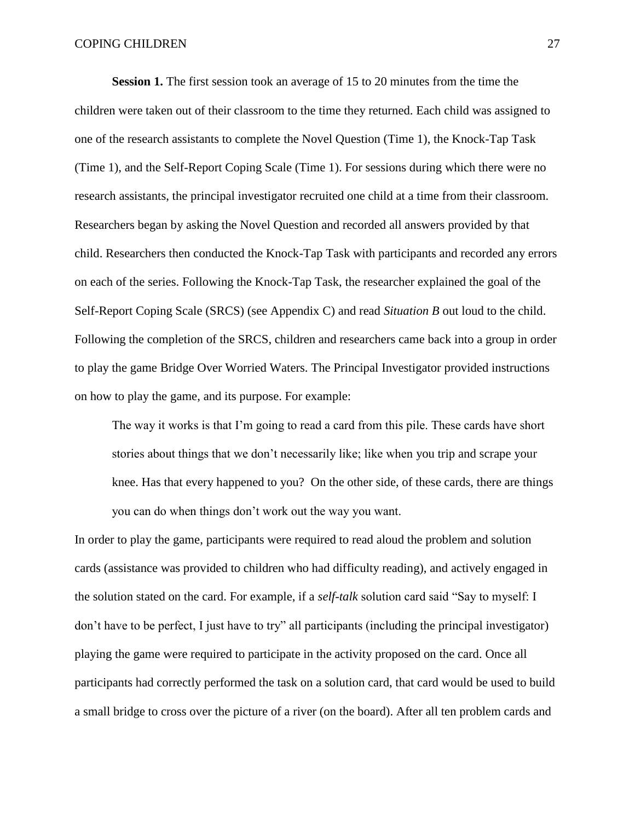**Session 1.** The first session took an average of 15 to 20 minutes from the time the children were taken out of their classroom to the time they returned. Each child was assigned to one of the research assistants to complete the Novel Question (Time 1), the Knock-Tap Task (Time 1), and the Self-Report Coping Scale (Time 1). For sessions during which there were no research assistants, the principal investigator recruited one child at a time from their classroom. Researchers began by asking the Novel Question and recorded all answers provided by that child. Researchers then conducted the Knock-Tap Task with participants and recorded any errors on each of the series. Following the Knock-Tap Task, the researcher explained the goal of the Self-Report Coping Scale (SRCS) (see Appendix C) and read *Situation B* out loud to the child. Following the completion of the SRCS, children and researchers came back into a group in order to play the game Bridge Over Worried Waters. The Principal Investigator provided instructions on how to play the game, and its purpose. For example:

The way it works is that I'm going to read a card from this pile. These cards have short stories about things that we don't necessarily like; like when you trip and scrape your knee. Has that every happened to you? On the other side, of these cards, there are things you can do when things don't work out the way you want.

In order to play the game, participants were required to read aloud the problem and solution cards (assistance was provided to children who had difficulty reading), and actively engaged in the solution stated on the card. For example, if a *self-talk* solution card said "Say to myself: I don't have to be perfect, I just have to try" all participants (including the principal investigator) playing the game were required to participate in the activity proposed on the card. Once all participants had correctly performed the task on a solution card, that card would be used to build a small bridge to cross over the picture of a river (on the board). After all ten problem cards and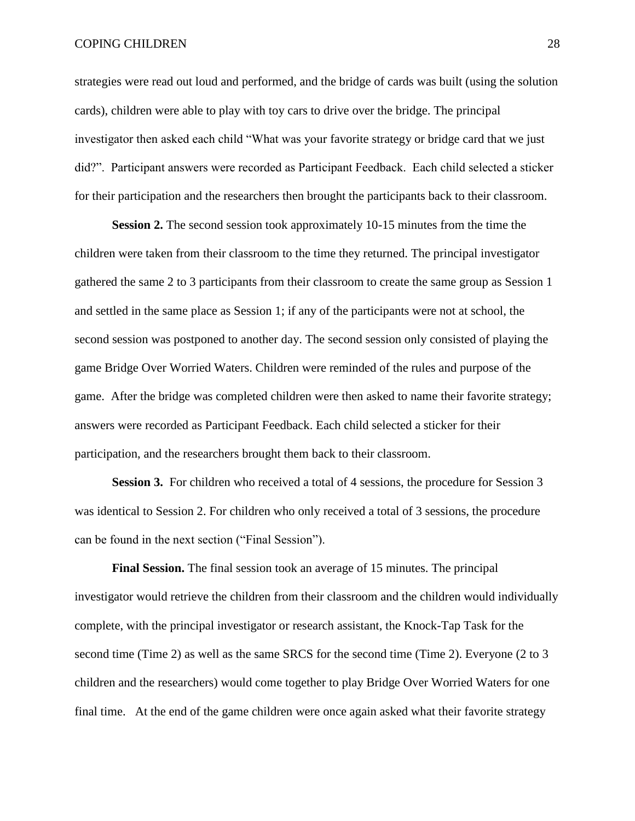#### COPING CHILDREN 28

strategies were read out loud and performed, and the bridge of cards was built (using the solution cards), children were able to play with toy cars to drive over the bridge. The principal investigator then asked each child "What was your favorite strategy or bridge card that we just did?". Participant answers were recorded as Participant Feedback. Each child selected a sticker for their participation and the researchers then brought the participants back to their classroom.

**Session 2.** The second session took approximately 10-15 minutes from the time the children were taken from their classroom to the time they returned. The principal investigator gathered the same 2 to 3 participants from their classroom to create the same group as Session 1 and settled in the same place as Session 1; if any of the participants were not at school, the second session was postponed to another day. The second session only consisted of playing the game Bridge Over Worried Waters. Children were reminded of the rules and purpose of the game. After the bridge was completed children were then asked to name their favorite strategy; answers were recorded as Participant Feedback. Each child selected a sticker for their participation, and the researchers brought them back to their classroom.

**Session 3.** For children who received a total of 4 sessions, the procedure for Session 3 was identical to Session 2. For children who only received a total of 3 sessions, the procedure can be found in the next section ("Final Session").

**Final Session.** The final session took an average of 15 minutes. The principal investigator would retrieve the children from their classroom and the children would individually complete, with the principal investigator or research assistant, the Knock-Tap Task for the second time (Time 2) as well as the same SRCS for the second time (Time 2). Everyone (2 to 3 children and the researchers) would come together to play Bridge Over Worried Waters for one final time. At the end of the game children were once again asked what their favorite strategy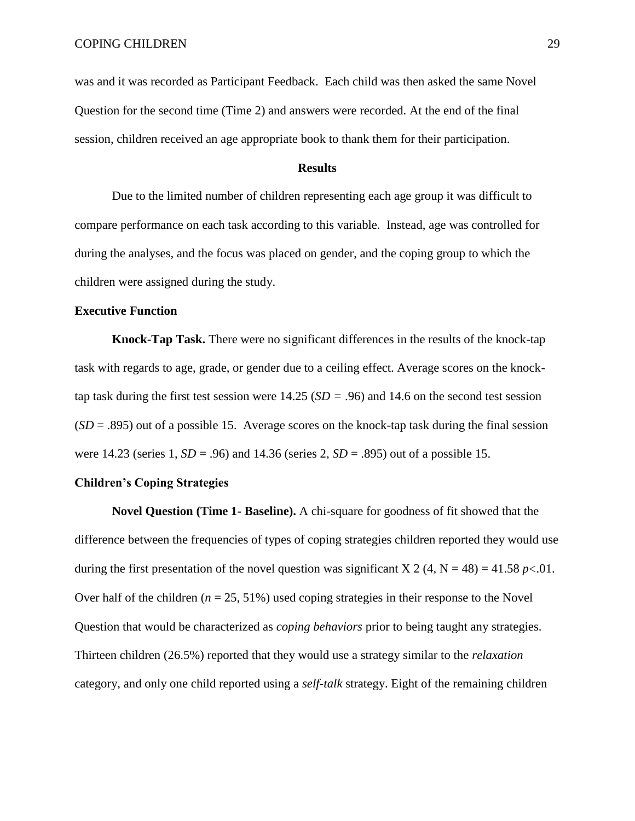was and it was recorded as Participant Feedback. Each child was then asked the same Novel Question for the second time (Time 2) and answers were recorded. At the end of the final session, children received an age appropriate book to thank them for their participation.

#### **Results**

Due to the limited number of children representing each age group it was difficult to compare performance on each task according to this variable. Instead, age was controlled for during the analyses, and the focus was placed on gender, and the coping group to which the children were assigned during the study.

#### **Executive Function**

**Knock-Tap Task.** There were no significant differences in the results of the knock-tap task with regards to age, grade, or gender due to a ceiling effect. Average scores on the knocktap task during the first test session were 14.25 (*SD =* .96) and 14.6 on the second test session (*SD* = .895) out of a possible 15. Average scores on the knock-tap task during the final session were 14.23 (series 1, *SD* = .96) and 14.36 (series 2, *SD* = .895) out of a possible 15.

#### **Children's Coping Strategies**

**Novel Question (Time 1- Baseline).** A chi-square for goodness of fit showed that the difference between the frequencies of types of coping strategies children reported they would use during the first presentation of the novel question was significant X 2 (4, N = 48) = 41.58 *p* <.01. Over half of the children  $(n = 25, 51\%)$  used coping strategies in their response to the Novel Question that would be characterized as *coping behaviors* prior to being taught any strategies. Thirteen children (26.5%) reported that they would use a strategy similar to the *relaxation*  category, and only one child reported using a *self-talk* strategy. Eight of the remaining children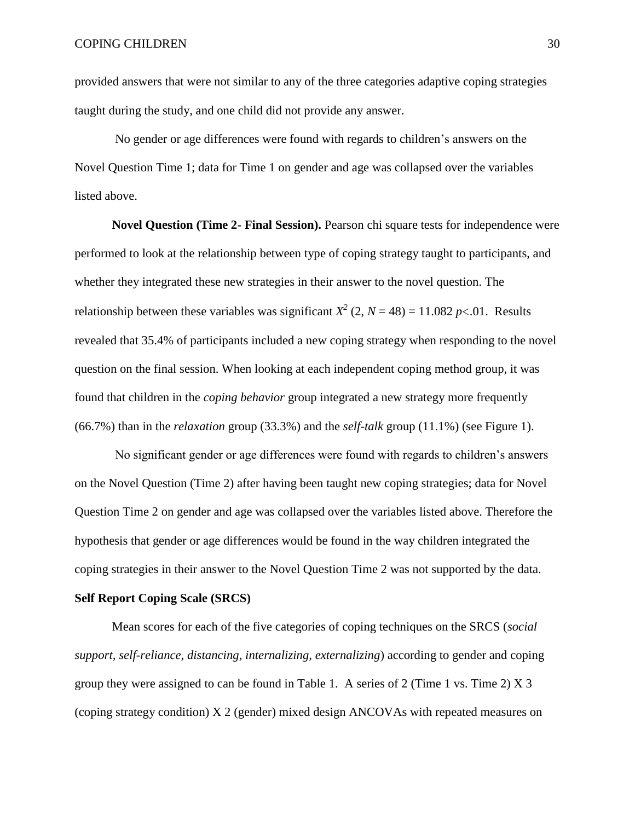provided answers that were not similar to any of the three categories adaptive coping strategies taught during the study, and one child did not provide any answer.

No gender or age differences were found with regards to children's answers on the Novel Question Time 1; data for Time 1 on gender and age was collapsed over the variables listed above.

**Novel Question (Time 2- Final Session).** Pearson chi square tests for independence were performed to look at the relationship between type of coping strategy taught to participants, and whether they integrated these new strategies in their answer to the novel question. The relationship between these variables was significant  $X^2$  (2,  $N = 48$ ) = 11.082 *p* <.01. Results revealed that 35.4% of participants included a new coping strategy when responding to the novel question on the final session. When looking at each independent coping method group, it was found that children in the *coping behavior* group integrated a new strategy more frequently (66.7%) than in the *relaxation* group (33.3%) and the *self-talk* group (11.1%) (see Figure 1).

No significant gender or age differences were found with regards to children's answers on the Novel Question (Time 2) after having been taught new coping strategies; data for Novel Question Time 2 on gender and age was collapsed over the variables listed above. Therefore the hypothesis that gender or age differences would be found in the way children integrated the coping strategies in their answer to the Novel Question Time 2 was not supported by the data.

#### **Self Report Coping Scale (SRCS)**

Mean scores for each of the five categories of coping techniques on the SRCS (*social support, self-reliance, distancing, internalizing, externalizing*) according to gender and coping group they were assigned to can be found in Table 1. A series of 2 (Time 1 vs. Time 2) X 3 (coping strategy condition) X 2 (gender) mixed design ANCOVAs with repeated measures on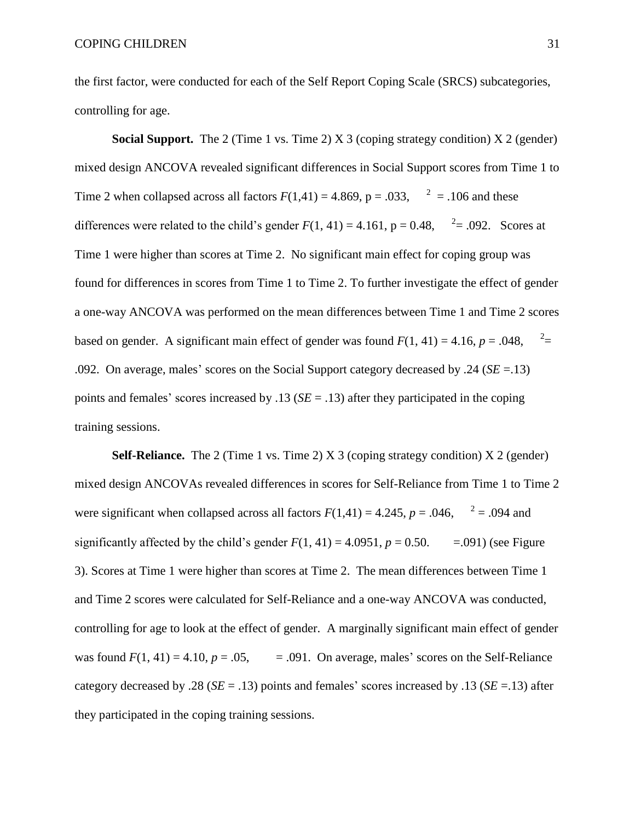the first factor, were conducted for each of the Self Report Coping Scale (SRCS) subcategories, controlling for age.

**Social Support.** The 2 (Time 1 vs. Time 2) X 3 (coping strategy condition) X 2 (gender) mixed design ANCOVA revealed significant differences in Social Support scores from Time 1 to Time 2 when collapsed across all factors  $F(1,41) = 4.869$ ,  $p = .033$ ,  $2^2 = .106$  and these differences were related to the child's gender  $F(1, 41) = 4.161$ ,  $p = 0.48$ ,  $r^2 = .092$ . Scores at Time 1 were higher than scores at Time 2. No significant main effect for coping group was found for differences in scores from Time 1 to Time 2. To further investigate the effect of gender a one-way ANCOVA was performed on the mean differences between Time 1 and Time 2 scores based on gender. A significant main effect of gender was found  $F(1, 41) = 4.16$ ,  $p = .048$ ,  $n =$ .092. On average, males' scores on the Social Support category decreased by .24 (*SE* =.13) points and females' scores increased by .13 (*SE* = .13) after they participated in the coping training sessions.

**Self-Reliance.** The 2 (Time 1 vs. Time 2) X 3 (coping strategy condition) X 2 (gender) mixed design ANCOVAs revealed differences in scores for Self-Reliance from Time 1 to Time 2 were significant when collapsed across all factors  $F(1,41) = 4.245$ ,  $p = .046$ ,  $2^2 = .094$  and significantly affected by the child's gender  $F(1, 41) = 4.0951$ ,  $p = 0.50$ .  $= .091$ ) (see Figure 3). Scores at Time 1 were higher than scores at Time 2. The mean differences between Time 1 and Time 2 scores were calculated for Self-Reliance and a one-way ANCOVA was conducted, controlling for age to look at the effect of gender. A marginally significant main effect of gender was found  $F(1, 41) = 4.10$ ,  $p = .05$ ,  $= .091$ . On average, males' scores on the Self-Reliance category decreased by .28 (*SE* = .13) points and females' scores increased by .13 (*SE* =.13) after they participated in the coping training sessions.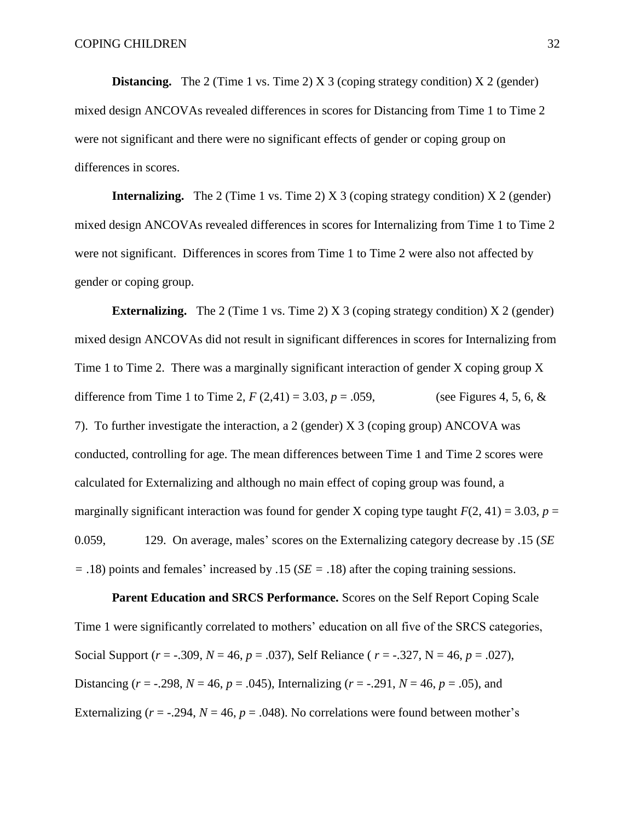**Distancing.** The 2 (Time 1 vs. Time 2) X 3 (coping strategy condition) X 2 (gender) mixed design ANCOVAs revealed differences in scores for Distancing from Time 1 to Time 2 were not significant and there were no significant effects of gender or coping group on differences in scores.

**Internalizing.** The 2 (Time 1 vs. Time 2) X 3 (coping strategy condition) X 2 (gender) mixed design ANCOVAs revealed differences in scores for Internalizing from Time 1 to Time 2 were not significant. Differences in scores from Time 1 to Time 2 were also not affected by gender or coping group.

**Externalizing.** The 2 (Time 1 vs. Time 2) X 3 (coping strategy condition) X 2 (gender) mixed design ANCOVAs did not result in significant differences in scores for Internalizing from Time 1 to Time 2. There was a marginally significant interaction of gender X coping group X difference from Time 1 to Time 2,  $F(2,41) = 3.03$ ,  $p = .059$ , (see Figures 4, 5, 6, & 7). To further investigate the interaction, a 2 (gender) X 3 (coping group) ANCOVA was conducted, controlling for age. The mean differences between Time 1 and Time 2 scores were calculated for Externalizing and although no main effect of coping group was found, a marginally significant interaction was found for gender X coping type taught  $F(2, 41) = 3.03$ ,  $p =$ 0.059, 129. On average, males' scores on the Externalizing category decrease by .15 (*SE =* .18) points and females' increased by .15 (*SE =* .18) after the coping training sessions.

Parent Education and SRCS Performance. Scores on the Self Report Coping Scale Time 1 were significantly correlated to mothers' education on all five of the SRCS categories, Social Support (*r* = -.309, *N* = 46, *p* = .037), Self Reliance ( *r* = -.327, N = 46, *p* = .027), Distancing ( $r = -0.298$ ,  $N = 46$ ,  $p = 0.045$ ), Internalizing ( $r = -0.291$ ,  $N = 46$ ,  $p = 0.05$ ), and Externalizing ( $r = -.294$ ,  $N = 46$ ,  $p = .048$ ). No correlations were found between mother's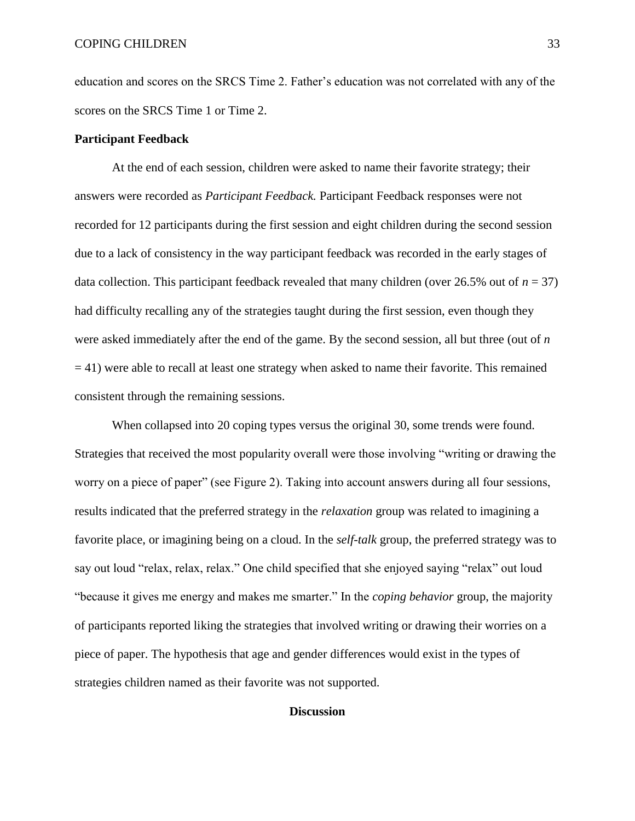education and scores on the SRCS Time 2. Father's education was not correlated with any of the scores on the SRCS Time 1 or Time 2.

#### **Participant Feedback**

At the end of each session, children were asked to name their favorite strategy; their answers were recorded as *Participant Feedback.* Participant Feedback responses were not recorded for 12 participants during the first session and eight children during the second session due to a lack of consistency in the way participant feedback was recorded in the early stages of data collection. This participant feedback revealed that many children (over  $26.5\%$  out of  $n = 37$ ) had difficulty recalling any of the strategies taught during the first session, even though they were asked immediately after the end of the game. By the second session, all but three (out of *n*   $= 41$ ) were able to recall at least one strategy when asked to name their favorite. This remained consistent through the remaining sessions.

When collapsed into 20 coping types versus the original 30, some trends were found. Strategies that received the most popularity overall were those involving "writing or drawing the worry on a piece of paper" (see Figure 2). Taking into account answers during all four sessions, results indicated that the preferred strategy in the *relaxation* group was related to imagining a favorite place, or imagining being on a cloud. In the *self-talk* group, the preferred strategy was to say out loud "relax, relax, relax." One child specified that she enjoyed saying "relax" out loud "because it gives me energy and makes me smarter." In the *coping behavior* group, the majority of participants reported liking the strategies that involved writing or drawing their worries on a piece of paper. The hypothesis that age and gender differences would exist in the types of strategies children named as their favorite was not supported.

#### **Discussion**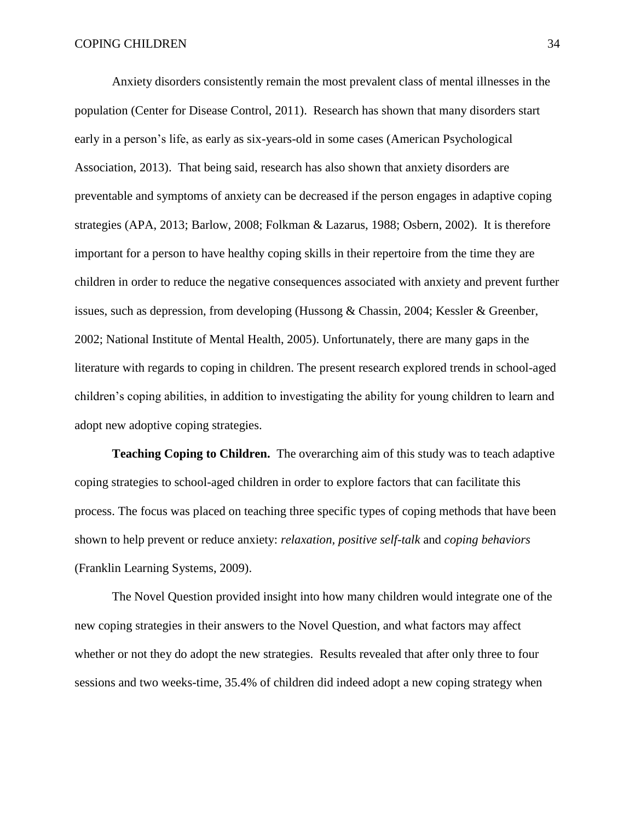Anxiety disorders consistently remain the most prevalent class of mental illnesses in the population (Center for Disease Control, 2011). Research has shown that many disorders start early in a person's life, as early as six-years-old in some cases (American Psychological Association, 2013). That being said, research has also shown that anxiety disorders are preventable and symptoms of anxiety can be decreased if the person engages in adaptive coping strategies (APA, 2013; Barlow, 2008; Folkman & Lazarus, 1988; Osbern, 2002). It is therefore important for a person to have healthy coping skills in their repertoire from the time they are children in order to reduce the negative consequences associated with anxiety and prevent further issues, such as depression, from developing (Hussong & Chassin, 2004; Kessler & Greenber, 2002; National Institute of Mental Health, 2005). Unfortunately, there are many gaps in the literature with regards to coping in children. The present research explored trends in school-aged children's coping abilities, in addition to investigating the ability for young children to learn and adopt new adoptive coping strategies.

**Teaching Coping to Children.** The overarching aim of this study was to teach adaptive coping strategies to school-aged children in order to explore factors that can facilitate this process. The focus was placed on teaching three specific types of coping methods that have been shown to help prevent or reduce anxiety: *relaxation, positive self-talk* and *coping behaviors*  (Franklin Learning Systems, 2009).

The Novel Question provided insight into how many children would integrate one of the new coping strategies in their answers to the Novel Question, and what factors may affect whether or not they do adopt the new strategies. Results revealed that after only three to four sessions and two weeks-time, 35.4% of children did indeed adopt a new coping strategy when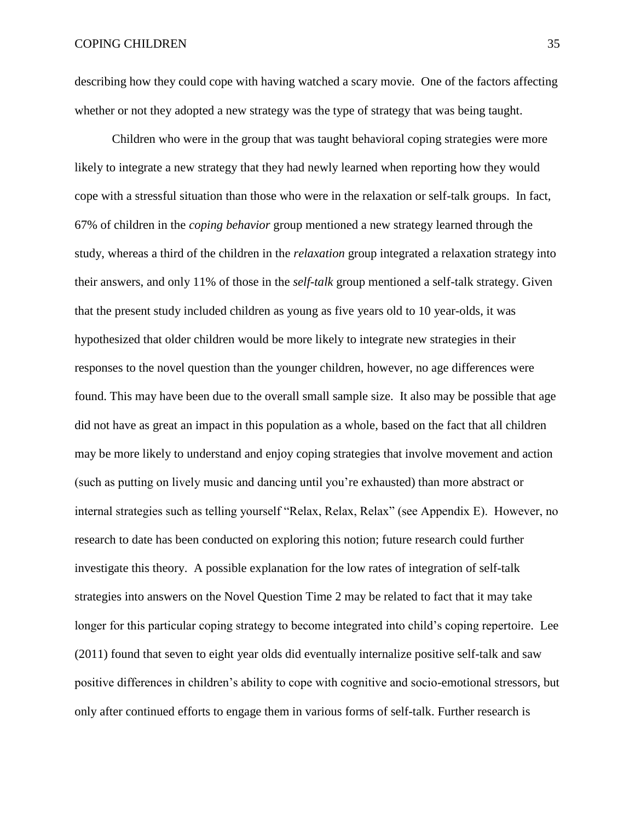describing how they could cope with having watched a scary movie. One of the factors affecting whether or not they adopted a new strategy was the type of strategy that was being taught.

Children who were in the group that was taught behavioral coping strategies were more likely to integrate a new strategy that they had newly learned when reporting how they would cope with a stressful situation than those who were in the relaxation or self-talk groups. In fact, 67% of children in the *coping behavior* group mentioned a new strategy learned through the study, whereas a third of the children in the *relaxation* group integrated a relaxation strategy into their answers, and only 11% of those in the *self-talk* group mentioned a self-talk strategy. Given that the present study included children as young as five years old to 10 year-olds, it was hypothesized that older children would be more likely to integrate new strategies in their responses to the novel question than the younger children, however, no age differences were found. This may have been due to the overall small sample size. It also may be possible that age did not have as great an impact in this population as a whole, based on the fact that all children may be more likely to understand and enjoy coping strategies that involve movement and action (such as putting on lively music and dancing until you're exhausted) than more abstract or internal strategies such as telling yourself "Relax, Relax, Relax" (see Appendix E). However, no research to date has been conducted on exploring this notion; future research could further investigate this theory. A possible explanation for the low rates of integration of self-talk strategies into answers on the Novel Question Time 2 may be related to fact that it may take longer for this particular coping strategy to become integrated into child's coping repertoire. Lee (2011) found that seven to eight year olds did eventually internalize positive self-talk and saw positive differences in children's ability to cope with cognitive and socio-emotional stressors, but only after continued efforts to engage them in various forms of self-talk. Further research is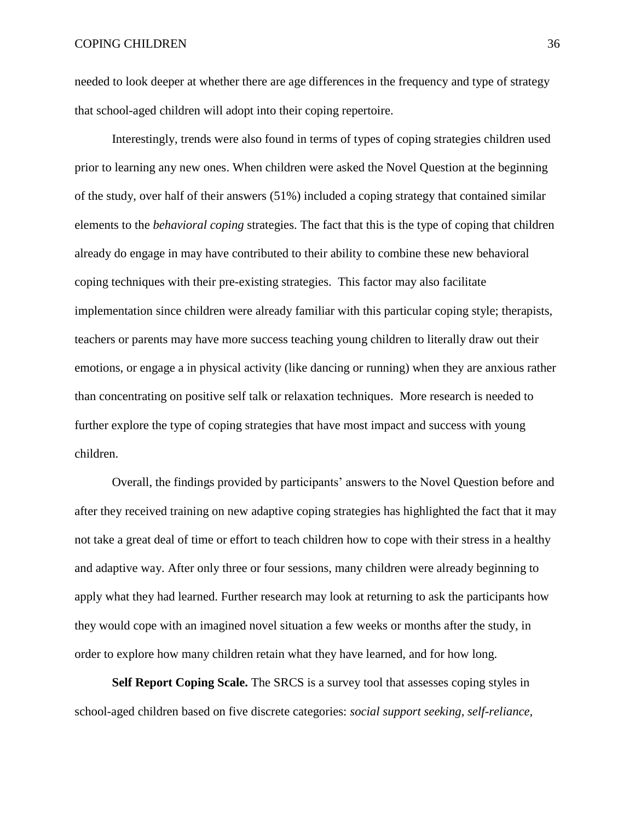needed to look deeper at whether there are age differences in the frequency and type of strategy that school-aged children will adopt into their coping repertoire.

Interestingly, trends were also found in terms of types of coping strategies children used prior to learning any new ones. When children were asked the Novel Question at the beginning of the study, over half of their answers (51%) included a coping strategy that contained similar elements to the *behavioral coping* strategies. The fact that this is the type of coping that children already do engage in may have contributed to their ability to combine these new behavioral coping techniques with their pre-existing strategies. This factor may also facilitate implementation since children were already familiar with this particular coping style; therapists, teachers or parents may have more success teaching young children to literally draw out their emotions, or engage a in physical activity (like dancing or running) when they are anxious rather than concentrating on positive self talk or relaxation techniques. More research is needed to further explore the type of coping strategies that have most impact and success with young children.

Overall, the findings provided by participants' answers to the Novel Question before and after they received training on new adaptive coping strategies has highlighted the fact that it may not take a great deal of time or effort to teach children how to cope with their stress in a healthy and adaptive way. After only three or four sessions, many children were already beginning to apply what they had learned. Further research may look at returning to ask the participants how they would cope with an imagined novel situation a few weeks or months after the study, in order to explore how many children retain what they have learned, and for how long.

**Self Report Coping Scale.** The SRCS is a survey tool that assesses coping styles in school-aged children based on five discrete categories: *social support seeking, self-reliance,*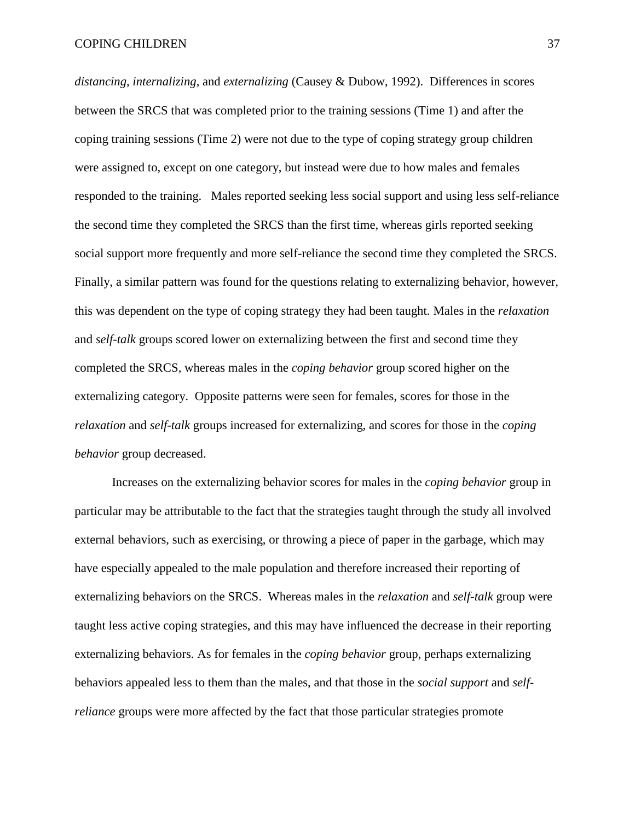*distancing, internalizing,* and *externalizing* (Causey & Dubow, 1992). Differences in scores between the SRCS that was completed prior to the training sessions (Time 1) and after the coping training sessions (Time 2) were not due to the type of coping strategy group children were assigned to, except on one category, but instead were due to how males and females responded to the training. Males reported seeking less social support and using less self-reliance the second time they completed the SRCS than the first time, whereas girls reported seeking social support more frequently and more self-reliance the second time they completed the SRCS. Finally, a similar pattern was found for the questions relating to externalizing behavior, however, this was dependent on the type of coping strategy they had been taught. Males in the *relaxation* and *self-talk* groups scored lower on externalizing between the first and second time they completed the SRCS, whereas males in the *coping behavior* group scored higher on the externalizing category. Opposite patterns were seen for females, scores for those in the *relaxation* and *self-talk* groups increased for externalizing, and scores for those in the *coping behavior* group decreased.

Increases on the externalizing behavior scores for males in the *coping behavior* group in particular may be attributable to the fact that the strategies taught through the study all involved external behaviors, such as exercising, or throwing a piece of paper in the garbage, which may have especially appealed to the male population and therefore increased their reporting of externalizing behaviors on the SRCS. Whereas males in the *relaxation* and *self-talk* group were taught less active coping strategies, and this may have influenced the decrease in their reporting externalizing behaviors. As for females in the *coping behavior* group, perhaps externalizing behaviors appealed less to them than the males, and that those in the *social support* and *selfreliance* groups were more affected by the fact that those particular strategies promote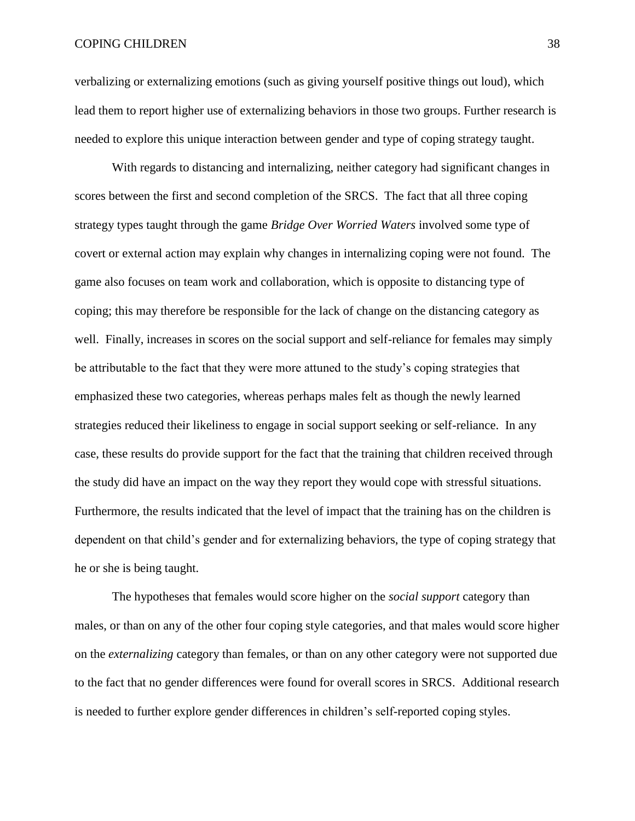#### COPING CHILDREN 38

verbalizing or externalizing emotions (such as giving yourself positive things out loud), which lead them to report higher use of externalizing behaviors in those two groups. Further research is needed to explore this unique interaction between gender and type of coping strategy taught.

With regards to distancing and internalizing, neither category had significant changes in scores between the first and second completion of the SRCS. The fact that all three coping strategy types taught through the game *Bridge Over Worried Waters* involved some type of covert or external action may explain why changes in internalizing coping were not found. The game also focuses on team work and collaboration, which is opposite to distancing type of coping; this may therefore be responsible for the lack of change on the distancing category as well. Finally, increases in scores on the social support and self-reliance for females may simply be attributable to the fact that they were more attuned to the study's coping strategies that emphasized these two categories, whereas perhaps males felt as though the newly learned strategies reduced their likeliness to engage in social support seeking or self-reliance. In any case, these results do provide support for the fact that the training that children received through the study did have an impact on the way they report they would cope with stressful situations. Furthermore, the results indicated that the level of impact that the training has on the children is dependent on that child's gender and for externalizing behaviors, the type of coping strategy that he or she is being taught.

The hypotheses that females would score higher on the *social support* category than males, or than on any of the other four coping style categories, and that males would score higher on the *externalizing* category than females, or than on any other category were not supported due to the fact that no gender differences were found for overall scores in SRCS. Additional research is needed to further explore gender differences in children's self-reported coping styles.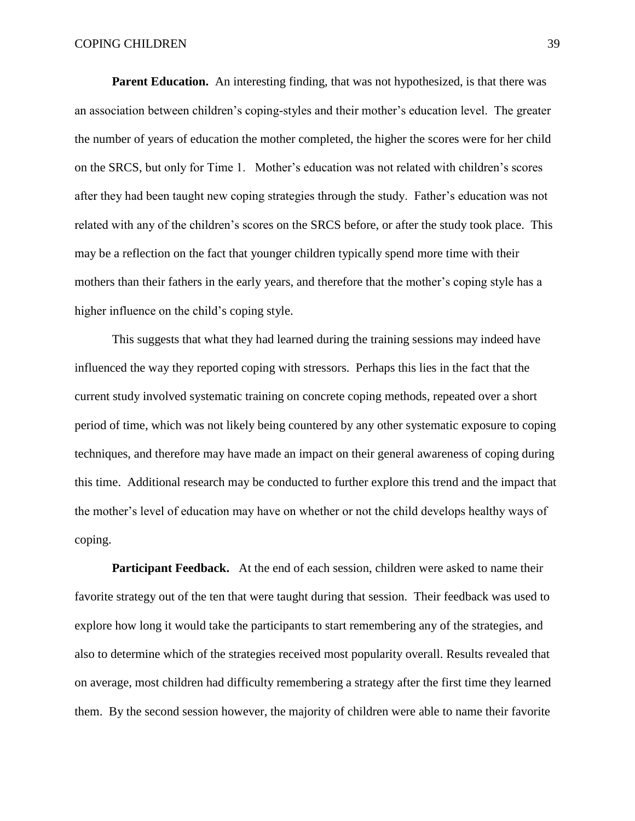**Parent Education.** An interesting finding, that was not hypothesized, is that there was an association between children's coping-styles and their mother's education level. The greater the number of years of education the mother completed, the higher the scores were for her child on the SRCS, but only for Time 1. Mother's education was not related with children's scores after they had been taught new coping strategies through the study. Father's education was not related with any of the children's scores on the SRCS before, or after the study took place. This may be a reflection on the fact that younger children typically spend more time with their mothers than their fathers in the early years, and therefore that the mother's coping style has a higher influence on the child's coping style.

This suggests that what they had learned during the training sessions may indeed have influenced the way they reported coping with stressors. Perhaps this lies in the fact that the current study involved systematic training on concrete coping methods, repeated over a short period of time, which was not likely being countered by any other systematic exposure to coping techniques, and therefore may have made an impact on their general awareness of coping during this time. Additional research may be conducted to further explore this trend and the impact that the mother's level of education may have on whether or not the child develops healthy ways of coping.

**Participant Feedback.** At the end of each session, children were asked to name their favorite strategy out of the ten that were taught during that session. Their feedback was used to explore how long it would take the participants to start remembering any of the strategies, and also to determine which of the strategies received most popularity overall. Results revealed that on average, most children had difficulty remembering a strategy after the first time they learned them. By the second session however, the majority of children were able to name their favorite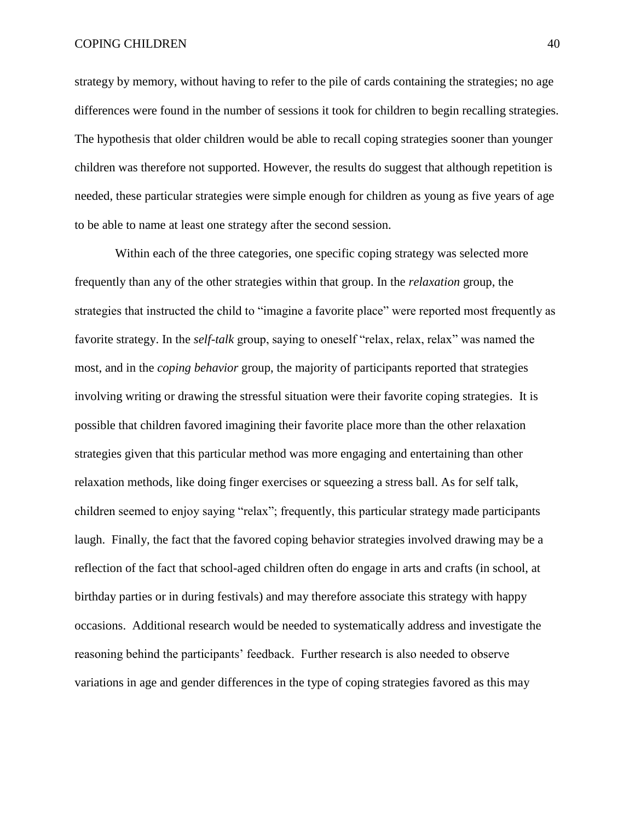#### COPING CHILDREN 40

strategy by memory, without having to refer to the pile of cards containing the strategies; no age differences were found in the number of sessions it took for children to begin recalling strategies. The hypothesis that older children would be able to recall coping strategies sooner than younger children was therefore not supported. However, the results do suggest that although repetition is needed, these particular strategies were simple enough for children as young as five years of age to be able to name at least one strategy after the second session.

Within each of the three categories, one specific coping strategy was selected more frequently than any of the other strategies within that group. In the *relaxation* group, the strategies that instructed the child to "imagine a favorite place" were reported most frequently as favorite strategy. In the *self-talk* group, saying to oneself "relax, relax, relax" was named the most, and in the *coping behavior* group, the majority of participants reported that strategies involving writing or drawing the stressful situation were their favorite coping strategies. It is possible that children favored imagining their favorite place more than the other relaxation strategies given that this particular method was more engaging and entertaining than other relaxation methods, like doing finger exercises or squeezing a stress ball. As for self talk, children seemed to enjoy saying "relax"; frequently, this particular strategy made participants laugh. Finally, the fact that the favored coping behavior strategies involved drawing may be a reflection of the fact that school-aged children often do engage in arts and crafts (in school, at birthday parties or in during festivals) and may therefore associate this strategy with happy occasions. Additional research would be needed to systematically address and investigate the reasoning behind the participants' feedback. Further research is also needed to observe variations in age and gender differences in the type of coping strategies favored as this may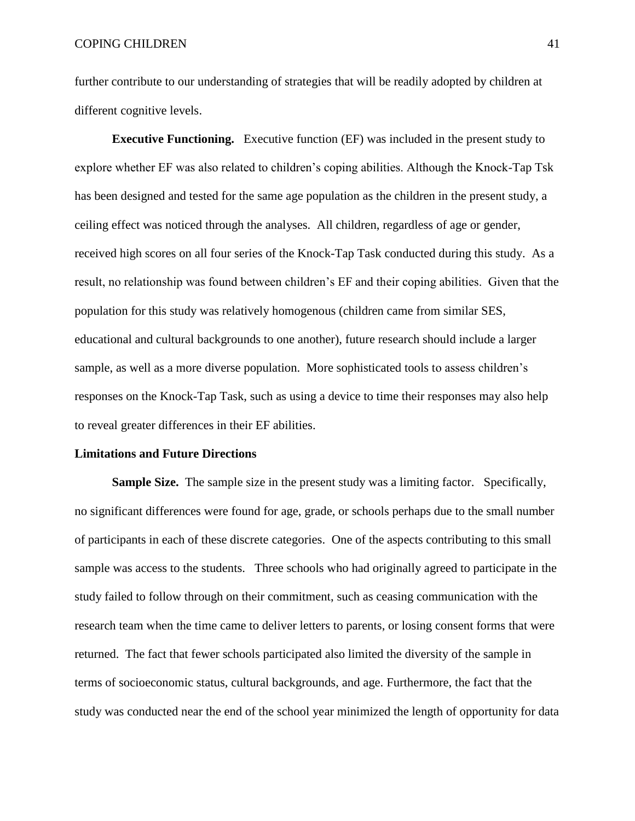further contribute to our understanding of strategies that will be readily adopted by children at different cognitive levels.

**Executive Functioning.** Executive function (EF) was included in the present study to explore whether EF was also related to children's coping abilities. Although the Knock-Tap Tsk has been designed and tested for the same age population as the children in the present study, a ceiling effect was noticed through the analyses. All children, regardless of age or gender, received high scores on all four series of the Knock-Tap Task conducted during this study. As a result, no relationship was found between children's EF and their coping abilities. Given that the population for this study was relatively homogenous (children came from similar SES, educational and cultural backgrounds to one another), future research should include a larger sample, as well as a more diverse population. More sophisticated tools to assess children's responses on the Knock-Tap Task, such as using a device to time their responses may also help to reveal greater differences in their EF abilities.

#### **Limitations and Future Directions**

**Sample Size.** The sample size in the present study was a limiting factor. Specifically, no significant differences were found for age, grade, or schools perhaps due to the small number of participants in each of these discrete categories. One of the aspects contributing to this small sample was access to the students. Three schools who had originally agreed to participate in the study failed to follow through on their commitment, such as ceasing communication with the research team when the time came to deliver letters to parents, or losing consent forms that were returned. The fact that fewer schools participated also limited the diversity of the sample in terms of socioeconomic status, cultural backgrounds, and age. Furthermore, the fact that the study was conducted near the end of the school year minimized the length of opportunity for data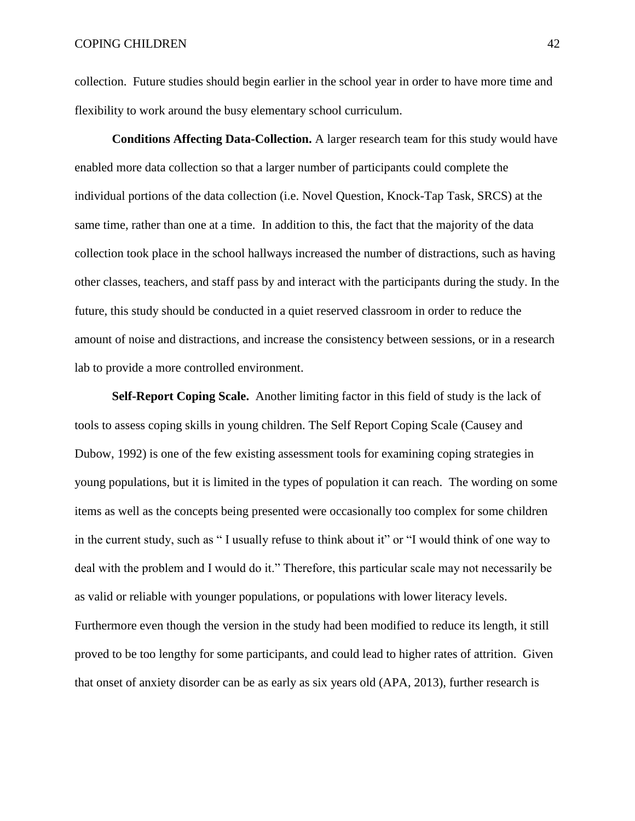collection. Future studies should begin earlier in the school year in order to have more time and flexibility to work around the busy elementary school curriculum.

**Conditions Affecting Data-Collection.** A larger research team for this study would have enabled more data collection so that a larger number of participants could complete the individual portions of the data collection (i.e. Novel Question, Knock-Tap Task, SRCS) at the same time, rather than one at a time. In addition to this, the fact that the majority of the data collection took place in the school hallways increased the number of distractions, such as having other classes, teachers, and staff pass by and interact with the participants during the study. In the future, this study should be conducted in a quiet reserved classroom in order to reduce the amount of noise and distractions, and increase the consistency between sessions, or in a research lab to provide a more controlled environment.

**Self-Report Coping Scale.** Another limiting factor in this field of study is the lack of tools to assess coping skills in young children. The Self Report Coping Scale (Causey and Dubow, 1992) is one of the few existing assessment tools for examining coping strategies in young populations, but it is limited in the types of population it can reach. The wording on some items as well as the concepts being presented were occasionally too complex for some children in the current study, such as " I usually refuse to think about it" or "I would think of one way to deal with the problem and I would do it." Therefore, this particular scale may not necessarily be as valid or reliable with younger populations, or populations with lower literacy levels. Furthermore even though the version in the study had been modified to reduce its length, it still proved to be too lengthy for some participants, and could lead to higher rates of attrition. Given that onset of anxiety disorder can be as early as six years old (APA, 2013), further research is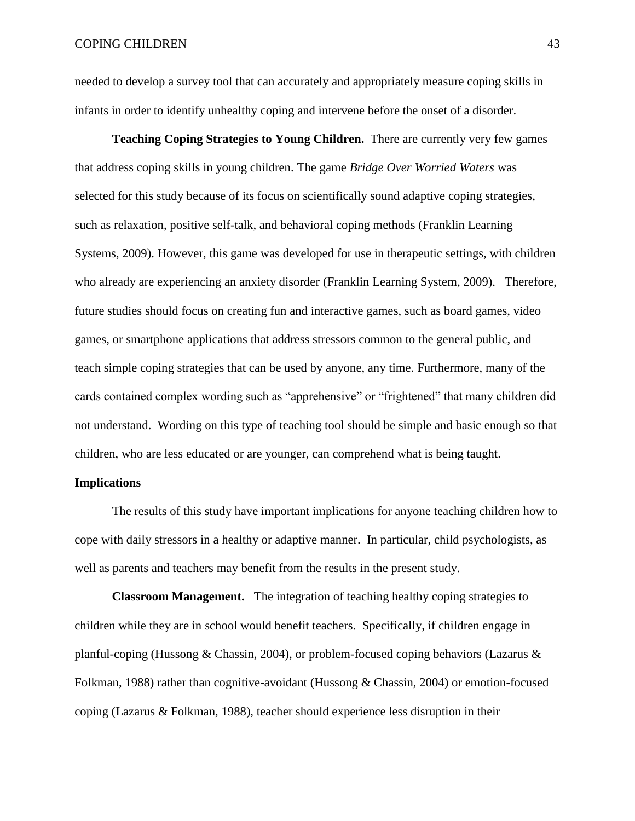needed to develop a survey tool that can accurately and appropriately measure coping skills in infants in order to identify unhealthy coping and intervene before the onset of a disorder.

**Teaching Coping Strategies to Young Children.** There are currently very few games that address coping skills in young children. The game *Bridge Over Worried Waters* was selected for this study because of its focus on scientifically sound adaptive coping strategies, such as relaxation, positive self-talk, and behavioral coping methods (Franklin Learning Systems, 2009). However, this game was developed for use in therapeutic settings, with children who already are experiencing an anxiety disorder (Franklin Learning System, 2009). Therefore, future studies should focus on creating fun and interactive games, such as board games, video games, or smartphone applications that address stressors common to the general public, and teach simple coping strategies that can be used by anyone, any time. Furthermore, many of the cards contained complex wording such as "apprehensive" or "frightened" that many children did not understand. Wording on this type of teaching tool should be simple and basic enough so that children, who are less educated or are younger, can comprehend what is being taught.

#### **Implications**

The results of this study have important implications for anyone teaching children how to cope with daily stressors in a healthy or adaptive manner. In particular, child psychologists, as well as parents and teachers may benefit from the results in the present study.

**Classroom Management.** The integration of teaching healthy coping strategies to children while they are in school would benefit teachers. Specifically, if children engage in planful-coping (Hussong & Chassin, 2004), or problem-focused coping behaviors (Lazarus & Folkman, 1988) rather than cognitive-avoidant (Hussong & Chassin, 2004) or emotion-focused coping (Lazarus & Folkman, 1988), teacher should experience less disruption in their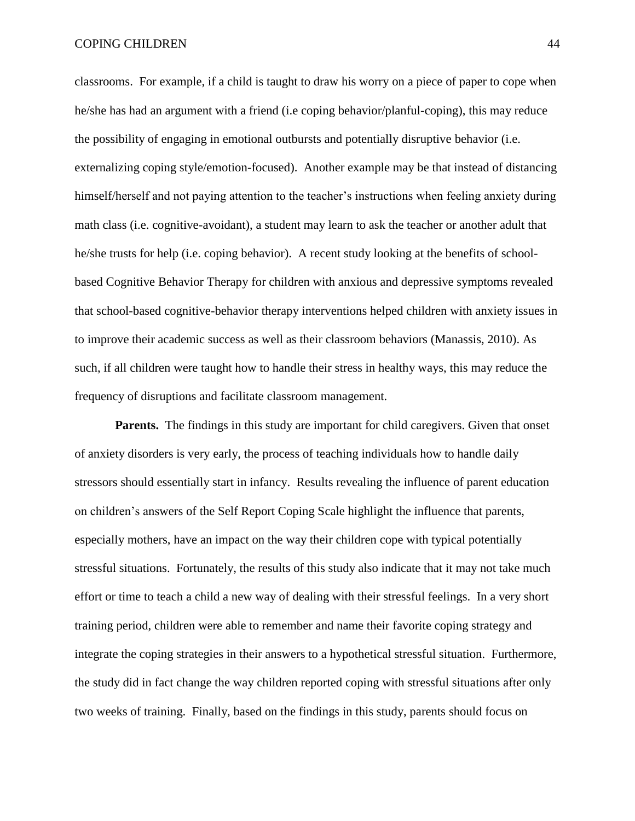#### COPING CHILDREN 44

classrooms. For example, if a child is taught to draw his worry on a piece of paper to cope when he/she has had an argument with a friend (i.e coping behavior/planful-coping), this may reduce the possibility of engaging in emotional outbursts and potentially disruptive behavior (i.e. externalizing coping style/emotion-focused). Another example may be that instead of distancing himself/herself and not paying attention to the teacher's instructions when feeling anxiety during math class (i.e. cognitive-avoidant), a student may learn to ask the teacher or another adult that he/she trusts for help (i.e. coping behavior). A recent study looking at the benefits of schoolbased Cognitive Behavior Therapy for children with anxious and depressive symptoms revealed that school-based cognitive-behavior therapy interventions helped children with anxiety issues in to improve their academic success as well as their classroom behaviors (Manassis, 2010). As such, if all children were taught how to handle their stress in healthy ways, this may reduce the frequency of disruptions and facilitate classroom management.

**Parents.** The findings in this study are important for child caregivers. Given that onset of anxiety disorders is very early, the process of teaching individuals how to handle daily stressors should essentially start in infancy. Results revealing the influence of parent education on children's answers of the Self Report Coping Scale highlight the influence that parents, especially mothers, have an impact on the way their children cope with typical potentially stressful situations. Fortunately, the results of this study also indicate that it may not take much effort or time to teach a child a new way of dealing with their stressful feelings. In a very short training period, children were able to remember and name their favorite coping strategy and integrate the coping strategies in their answers to a hypothetical stressful situation. Furthermore, the study did in fact change the way children reported coping with stressful situations after only two weeks of training. Finally, based on the findings in this study, parents should focus on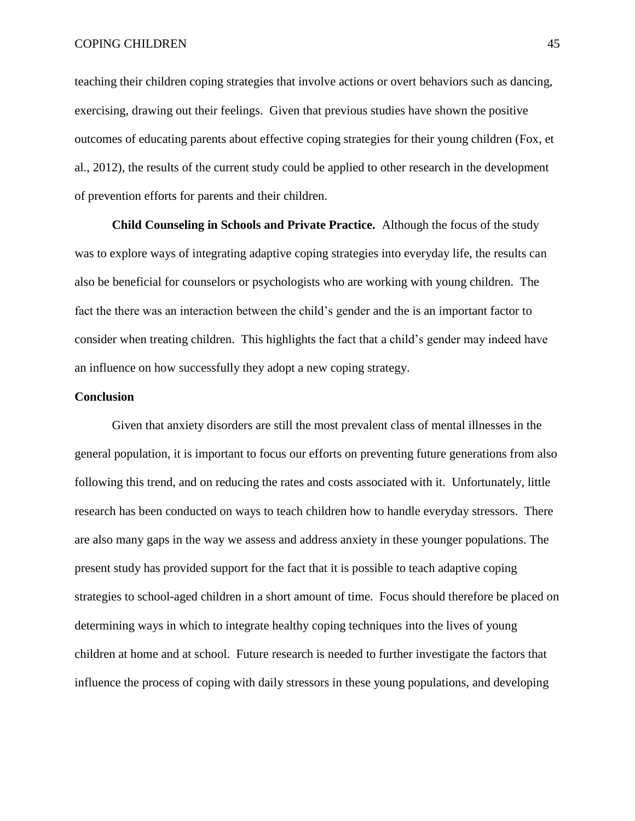#### COPING CHILDREN 45

teaching their children coping strategies that involve actions or overt behaviors such as dancing, exercising, drawing out their feelings. Given that previous studies have shown the positive outcomes of educating parents about effective coping strategies for their young children (Fox, et al., 2012), the results of the current study could be applied to other research in the development of prevention efforts for parents and their children.

**Child Counseling in Schools and Private Practice.** Although the focus of the study was to explore ways of integrating adaptive coping strategies into everyday life, the results can also be beneficial for counselors or psychologists who are working with young children. The fact the there was an interaction between the child's gender and the is an important factor to consider when treating children. This highlights the fact that a child's gender may indeed have an influence on how successfully they adopt a new coping strategy.

#### **Conclusion**

Given that anxiety disorders are still the most prevalent class of mental illnesses in the general population, it is important to focus our efforts on preventing future generations from also following this trend, and on reducing the rates and costs associated with it. Unfortunately, little research has been conducted on ways to teach children how to handle everyday stressors. There are also many gaps in the way we assess and address anxiety in these younger populations. The present study has provided support for the fact that it is possible to teach adaptive coping strategies to school-aged children in a short amount of time. Focus should therefore be placed on determining ways in which to integrate healthy coping techniques into the lives of young children at home and at school. Future research is needed to further investigate the factors that influence the process of coping with daily stressors in these young populations, and developing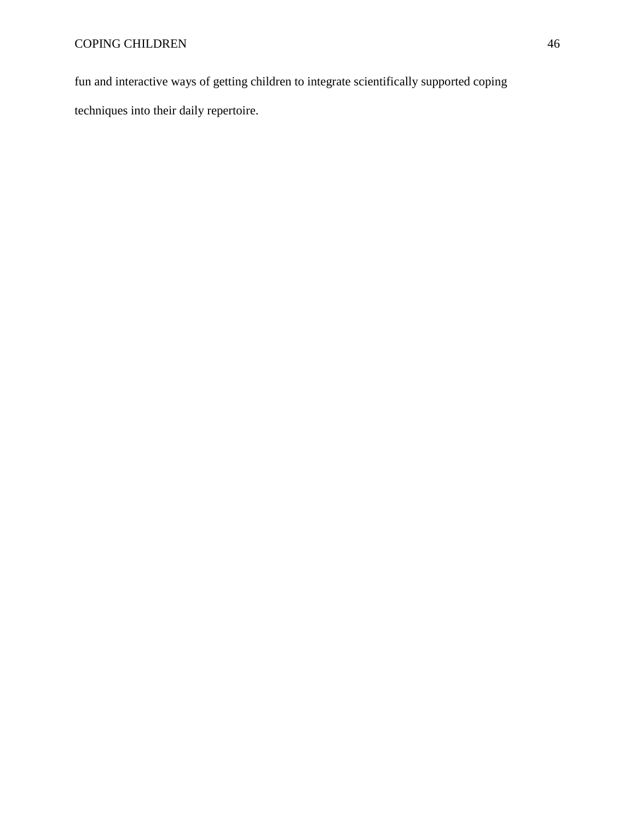fun and interactive ways of getting children to integrate scientifically supported coping techniques into their daily repertoire.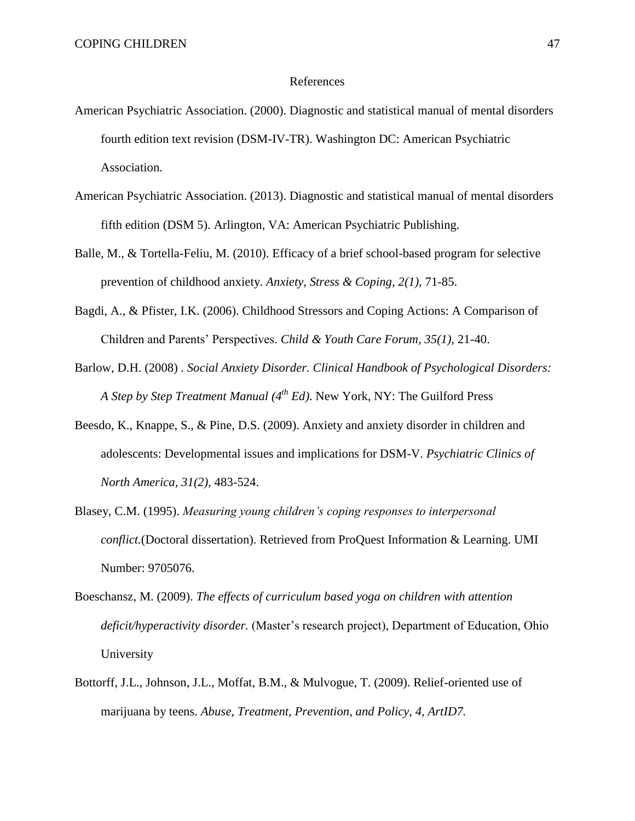#### References

- American Psychiatric Association. (2000). Diagnostic and statistical manual of mental disorders fourth edition text revision (DSM-IV-TR). Washington DC: American Psychiatric Association.
- American Psychiatric Association. (2013). Diagnostic and statistical manual of mental disorders fifth edition (DSM 5). Arlington, VA: American Psychiatric Publishing.
- Balle, M., & Tortella-Feliu, M. (2010). Efficacy of a brief school-based program for selective prevention of childhood anxiety. *Anxiety, Stress & Coping, 2(1),* 71-85.
- Bagdi, A., & Pfister, I.K. (2006). Childhood Stressors and Coping Actions: A Comparison of Children and Parents' Perspectives. *Child & Youth Care Forum, 35(1),* 21-40.
- Barlow, D.H. (2008) . *Social Anxiety Disorder. Clinical Handbook of Psychological Disorders: A Step by Step Treatment Manual (4 th Ed)*. New York, NY: The Guilford Press
- Beesdo, K., Knappe, S., & Pine, D.S. (2009). Anxiety and anxiety disorder in children and adolescents: Developmental issues and implications for DSM-V. *Psychiatric Clinics of North America, 31(2),* 483-524.
- Blasey, C.M. (1995). *Measuring young children's coping responses to interpersonal conflict.*(Doctoral dissertation). Retrieved from ProQuest Information & Learning. UMI Number: 9705076.
- Boeschansz, M. (2009). *The effects of curriculum based yoga on children with attention deficit/hyperactivity disorder.* (Master's research project), Department of Education, Ohio University
- Bottorff, J.L., Johnson, J.L., Moffat, B.M., & Mulvogue, T. (2009). Relief-oriented use of marijuana by teens. *Abuse, Treatment, Prevention, and Policy, 4, ArtID7.*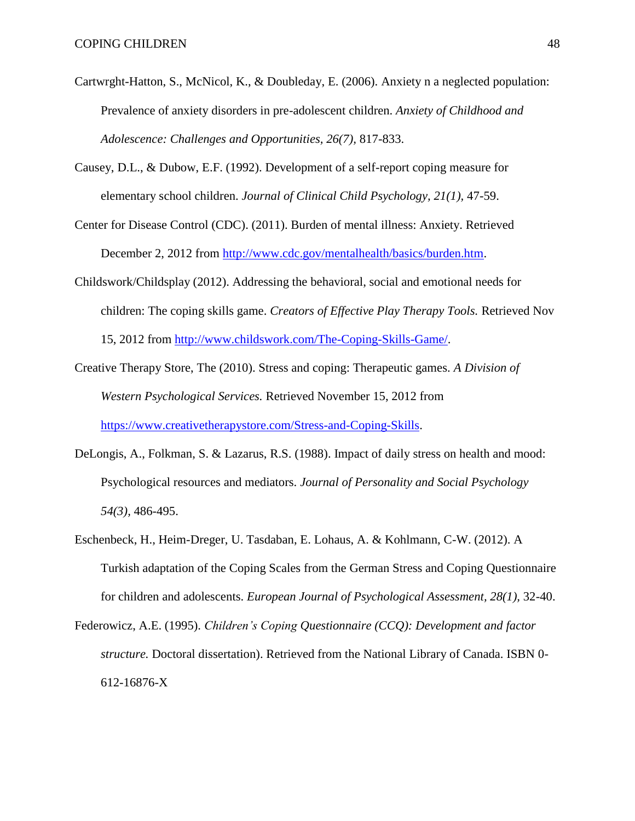- Cartwrght-Hatton, S., McNicol, K., & Doubleday, E. (2006). Anxiety n a neglected population: Prevalence of anxiety disorders in pre-adolescent children. *Anxiety of Childhood and Adolescence: Challenges and Opportunities, 26(7),* 817-833.
- Causey, D.L., & Dubow, E.F. (1992). Development of a self-report coping measure for elementary school children. *Journal of Clinical Child Psychology, 21(1),* 47-59.
- Center for Disease Control (CDC). (2011). Burden of mental illness: Anxiety. Retrieved December 2, 2012 from [http://www.cdc.gov/mentalhealth/basics/burden.htm.](http://www.cdc.gov/mentalhealth/basics/burden.htm)
- Childswork/Childsplay (2012). Addressing the behavioral, social and emotional needs for children: The coping skills game. *Creators of Effective Play Therapy Tools.* Retrieved Nov 15, 2012 from [http://www.childswork.com/The-Coping-Skills-Game/.](http://www.childswork.com/The-Coping-Skills-Game/)
- Creative Therapy Store, The (2010). Stress and coping: Therapeutic games. *A Division of Western Psychological Services.* Retrieved November 15, 2012 from [https://www.creativetherapystore.com/Stress-and-Coping-Skills.](https://www.creativetherapystore.com/Stress-and-Coping-Skills)
- DeLongis, A., Folkman, S. & Lazarus, R.S. (1988). Impact of daily stress on health and mood: Psychological resources and mediators. *Journal of Personality and Social Psychology 54(3),* 486-495.
- Eschenbeck, H., Heim-Dreger, U. Tasdaban, E. Lohaus, A. & Kohlmann, C-W. (2012). A Turkish adaptation of the Coping Scales from the German Stress and Coping Questionnaire for children and adolescents. *European Journal of Psychological Assessment, 28(1),* 32-40.
- Federowicz, A.E. (1995). *Children's Coping Questionnaire (CCQ): Development and factor structure.* Doctoral dissertation). Retrieved from the National Library of Canada. ISBN 0- 612-16876-X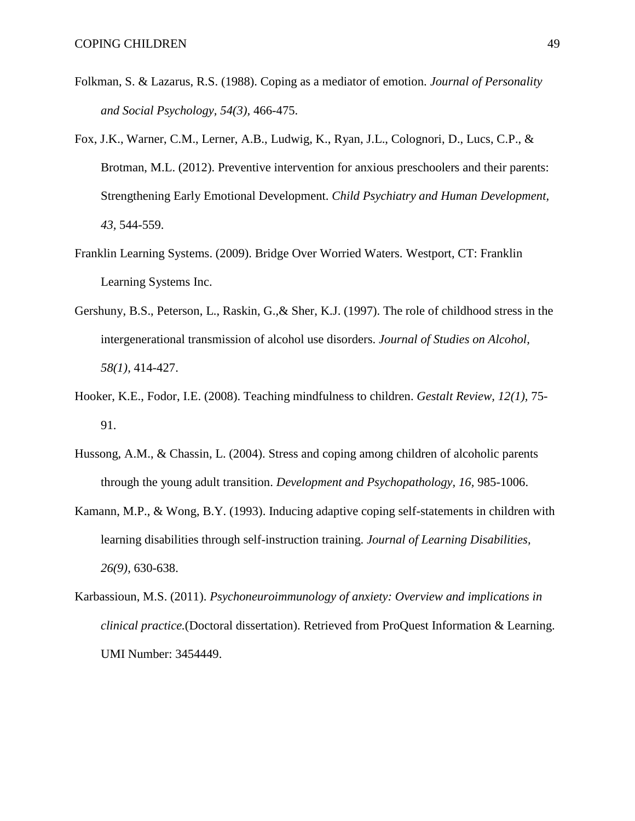- Folkman, S. & Lazarus, R.S. (1988). Coping as a mediator of emotion. *Journal of Personality and Social Psychology, 54(3),* 466-475.
- Fox, J.K., Warner, C.M., Lerner, A.B., Ludwig, K., Ryan, J.L., Colognori, D., Lucs, C.P., & Brotman, M.L. (2012). Preventive intervention for anxious preschoolers and their parents: Strengthening Early Emotional Development. *Child Psychiatry and Human Development, 43,* 544-559.
- Franklin Learning Systems. (2009). Bridge Over Worried Waters. Westport, CT: Franklin Learning Systems Inc.
- Gershuny, B.S., Peterson, L., Raskin, G.,& Sher, K.J. (1997). The role of childhood stress in the intergenerational transmission of alcohol use disorders. *Journal of Studies on Alcohol, 58(1),* 414-427.
- Hooker, K.E., Fodor, I.E. (2008). Teaching mindfulness to children. *Gestalt Review, 12(1),* 75- 91.
- Hussong, A.M., & Chassin, L. (2004). Stress and coping among children of alcoholic parents through the young adult transition. *Development and Psychopathology, 16,* 985-1006.
- Kamann, M.P., & Wong, B.Y. (1993). Inducing adaptive coping self-statements in children with learning disabilities through self-instruction training. *Journal of Learning Disabilities, 26(9),* 630-638.
- Karbassioun, M.S. (2011). *Psychoneuroimmunology of anxiety: Overview and implications in clinical practice.*(Doctoral dissertation). Retrieved from ProQuest Information & Learning. UMI Number: 3454449.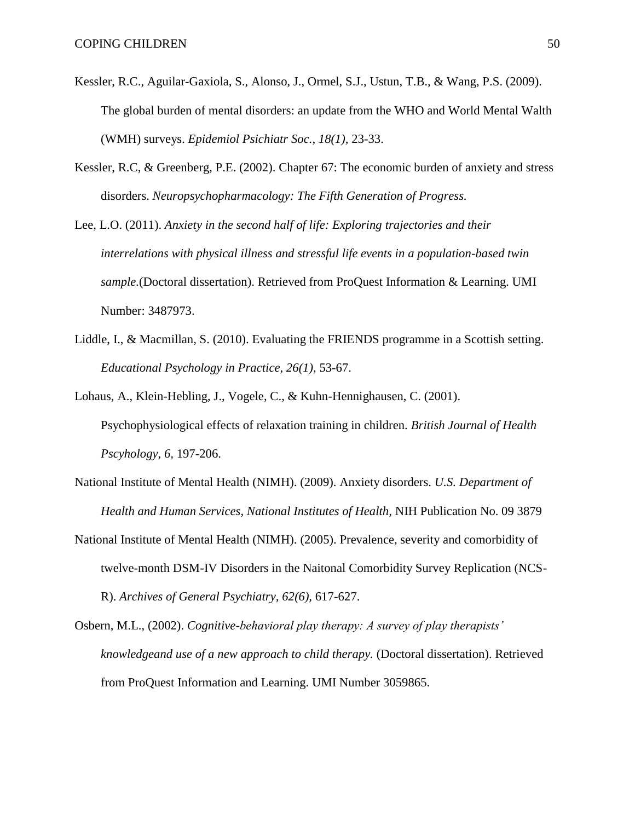- Kessler, R.C., Aguilar-Gaxiola, S., Alonso, J., Ormel, S.J., Ustun, T.B., & Wang, P.S. (2009). The global burden of mental disorders: an update from the WHO and World Mental Walth (WMH) surveys. *Epidemiol Psichiatr Soc., 18(1),* 23-33.
- Kessler, R.C, & Greenberg, P.E. (2002). Chapter 67: The economic burden of anxiety and stress disorders. *Neuropsychopharmacology: The Fifth Generation of Progress.*
- Lee, L.O. (2011). *Anxiety in the second half of life: Exploring trajectories and their interrelations with physical illness and stressful life events in a population-based twin sample.*(Doctoral dissertation). Retrieved from ProQuest Information & Learning. UMI Number: 3487973.
- Liddle, I., & Macmillan, S. (2010). Evaluating the FRIENDS programme in a Scottish setting. *Educational Psychology in Practice, 26(1),* 53-67.
- Lohaus, A., Klein-Hebling, J., Vogele, C., & Kuhn-Hennighausen, C. (2001). Psychophysiological effects of relaxation training in children. *British Journal of Health Pscyhology, 6,* 197-206.
- National Institute of Mental Health (NIMH). (2009). Anxiety disorders. *U.S. Department of Health and Human Services, National Institutes of Health,* NIH Publication No. 09 3879
- National Institute of Mental Health (NIMH). (2005). Prevalence, severity and comorbidity of twelve-month DSM-IV Disorders in the Naitonal Comorbidity Survey Replication (NCS-R). *Archives of General Psychiatry, 62(6),* 617-627.
- Osbern, M.L., (2002). *Cognitive-behavioral play therapy: A survey of play therapists' knowledgeand use of a new approach to child therapy.* (Doctoral dissertation). Retrieved from ProQuest Information and Learning. UMI Number 3059865.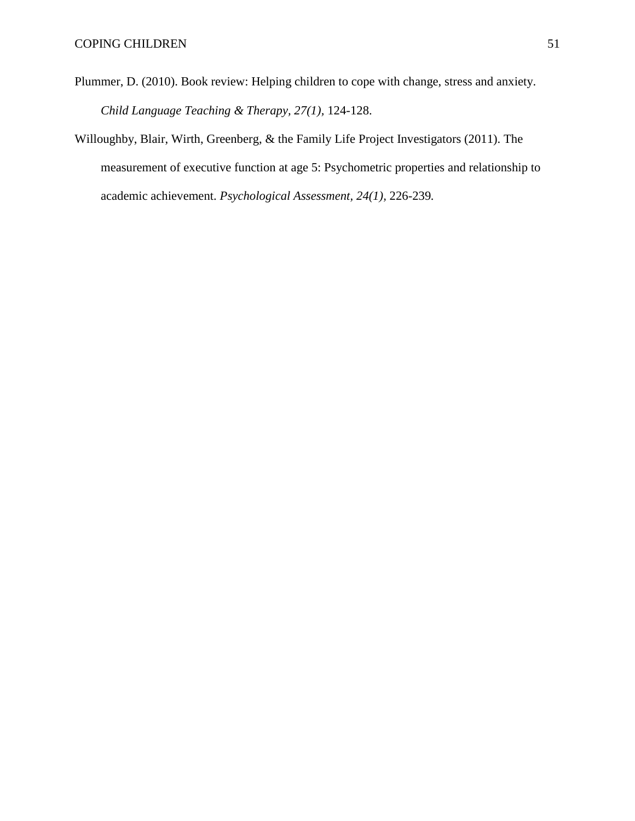- Plummer, D. (2010). Book review: Helping children to cope with change, stress and anxiety. *Child Language Teaching & Therapy, 27(1),* 124-128.
- Willoughby, Blair, Wirth, Greenberg, & the Family Life Project Investigators (2011). The measurement of executive function at age 5: Psychometric properties and relationship to academic achievement. *Psychological Assessment, 24(1),* 226-239*.*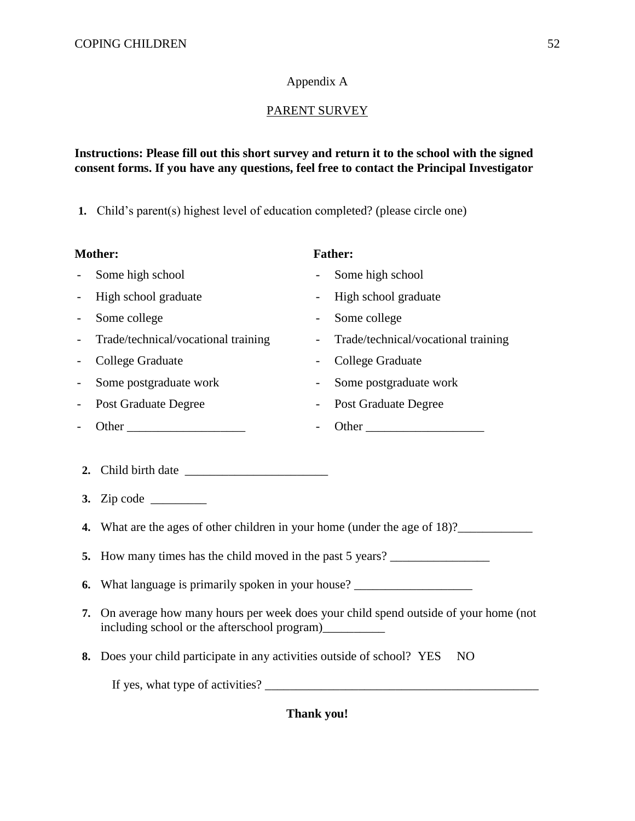# Appendix A

# PARENT SURVEY

### **Instructions: Please fill out this short survey and return it to the school with the signed consent forms. If you have any questions, feel free to contact the Principal Investigator**

**1.** Child's parent(s) highest level of education completed? (please circle one)

| <b>Mother:</b>           |                                                                                                                                              |                          | <b>Father:</b>                      |  |  |
|--------------------------|----------------------------------------------------------------------------------------------------------------------------------------------|--------------------------|-------------------------------------|--|--|
| $\overline{a}$           | Some high school                                                                                                                             | $\sim$                   | Some high school                    |  |  |
| $\overline{\phantom{a}}$ | High school graduate                                                                                                                         |                          | High school graduate                |  |  |
| $\overline{\phantom{a}}$ | Some college                                                                                                                                 | $\overline{\phantom{0}}$ | Some college                        |  |  |
| $\overline{\phantom{a}}$ | Trade/technical/vocational training                                                                                                          |                          | Trade/technical/vocational training |  |  |
| $\overline{\phantom{a}}$ | <b>College Graduate</b>                                                                                                                      |                          | <b>College Graduate</b>             |  |  |
|                          | Some postgraduate work                                                                                                                       |                          | Some postgraduate work              |  |  |
|                          | <b>Post Graduate Degree</b>                                                                                                                  |                          | Post Graduate Degree                |  |  |
|                          |                                                                                                                                              |                          |                                     |  |  |
| 2.                       |                                                                                                                                              |                          |                                     |  |  |
|                          | 4. What are the ages of other children in your home (under the age of 18)?                                                                   |                          |                                     |  |  |
|                          | 5. How many times has the child moved in the past 5 years?                                                                                   |                          |                                     |  |  |
| 6.                       | What language is primarily spoken in your house?                                                                                             |                          |                                     |  |  |
| 7.                       | On average how many hours per week does your child spend outside of your home (not<br>including school or the afterschool program)__________ |                          |                                     |  |  |
|                          | $\Box$ 1'11 $\angle$ $\cdots$ $\angle$ $\cdots$ $\angle$ $\cdots$ $\angle$ 1 10 VEC MO                                                       |                          |                                     |  |  |

**8.** Does your child participate in any activities outside of school? YES NO

If yes, what type of activities? \_\_\_\_\_\_\_\_\_\_\_\_\_\_\_\_\_\_\_\_\_\_\_\_\_\_\_\_\_\_\_\_\_\_\_\_\_\_\_\_\_\_\_\_

**Thank you!**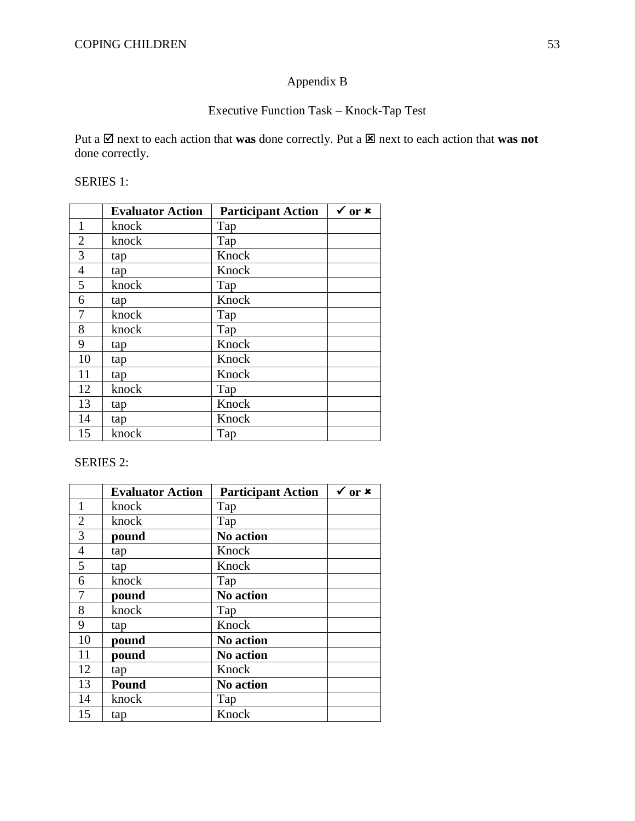# Appendix B

# Executive Function Task – Knock-Tap Test

Put a  $\boxtimes$  next to each action that **was** done correctly. Put a  $\boxtimes$  next to each action that **was not** done correctly.

SERIES 1:

|                | <b>Evaluator Action</b> | <b>Participant Action</b> | $\sqrt{0}$ or $\bm{x}$ |
|----------------|-------------------------|---------------------------|------------------------|
| $\mathbf{1}$   | knock                   | Tap                       |                        |
| $\overline{2}$ | knock                   | Tap                       |                        |
| 3              | tap                     | Knock                     |                        |
| $\overline{4}$ | tap                     | Knock                     |                        |
| 5              | knock                   | Tap                       |                        |
| 6              | tap                     | Knock                     |                        |
| 7              | knock                   | Tap                       |                        |
| 8              | knock                   | Tap                       |                        |
| 9              | tap                     | Knock                     |                        |
| 10             | tap                     | Knock                     |                        |
| 11             | tap                     | Knock                     |                        |
| 12             | knock                   | Tap                       |                        |
| 13             | tap                     | Knock                     |                        |
| 14             | tap                     | Knock                     |                        |
| 15             | knock                   | Tap                       |                        |

### SERIES 2:

|                | <b>Evaluator Action</b> | <b>Participant Action</b> | $\sqrt{or x}$ |
|----------------|-------------------------|---------------------------|---------------|
| $\mathbf{1}$   | knock                   | Tap                       |               |
| $\overline{2}$ | knock                   | Tap                       |               |
| 3              | pound                   | No action                 |               |
| $\overline{4}$ | tap                     | Knock                     |               |
| 5              | tap                     | Knock                     |               |
| 6              | knock                   | Tap                       |               |
| 7              | pound                   | <b>No action</b>          |               |
| 8              | knock                   | Tap                       |               |
| 9              | tap                     | Knock                     |               |
| 10             | pound                   | <b>No action</b>          |               |
| 11             | pound                   | <b>No action</b>          |               |
| 12             | tap                     | Knock                     |               |
| 13             | Pound                   | <b>No action</b>          |               |
| 14             | knock                   | Tap                       |               |
| 15             | tap                     | Knock                     |               |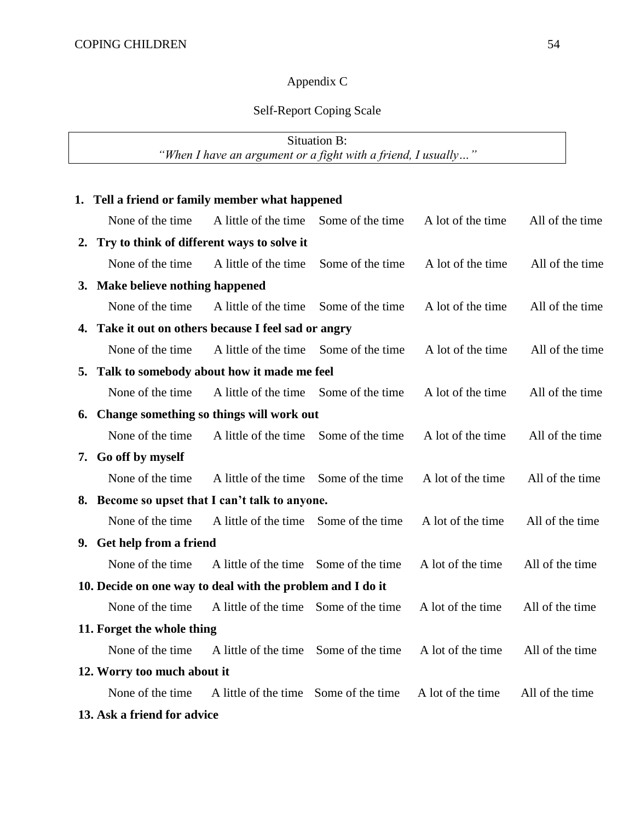# Appendix C

# Self-Report Coping Scale

| Situation B:                                                  |                                                      |                                              |                  |                   |                 |  |  |
|---------------------------------------------------------------|------------------------------------------------------|----------------------------------------------|------------------|-------------------|-----------------|--|--|
| "When I have an argument or a fight with a friend, I usually" |                                                      |                                              |                  |                   |                 |  |  |
|                                                               |                                                      |                                              |                  |                   |                 |  |  |
|                                                               | 1. Tell a friend or family member what happened      |                                              |                  |                   |                 |  |  |
|                                                               | None of the time.                                    | A little of the time                         | Some of the time | A lot of the time | All of the time |  |  |
| 2.                                                            | Try to think of different ways to solve it           |                                              |                  |                   |                 |  |  |
|                                                               | None of the time                                     | A little of the time                         | Some of the time | A lot of the time | All of the time |  |  |
|                                                               | 3. Make believe nothing happened                     |                                              |                  |                   |                 |  |  |
|                                                               | None of the time                                     | A little of the time Some of the time        |                  | A lot of the time | All of the time |  |  |
|                                                               | 4. Take it out on others because I feel sad or angry |                                              |                  |                   |                 |  |  |
|                                                               | None of the time                                     | A little of the time                         | Some of the time | A lot of the time | All of the time |  |  |
|                                                               | 5. Talk to somebody about how it made me feel        |                                              |                  |                   |                 |  |  |
|                                                               | None of the time                                     | A little of the time Some of the time        |                  | A lot of the time | All of the time |  |  |
| Change something so things will work out<br>6.                |                                                      |                                              |                  |                   |                 |  |  |
|                                                               | None of the time                                     | A little of the time                         | Some of the time | A lot of the time | All of the time |  |  |
|                                                               | 7. Go off by myself                                  |                                              |                  |                   |                 |  |  |
|                                                               | None of the time                                     | A little of the time                         | Some of the time | A lot of the time | All of the time |  |  |
| 8.                                                            |                                                      | Become so upset that I can't talk to anyone. |                  |                   |                 |  |  |
|                                                               | None of the time                                     | A little of the time                         | Some of the time | A lot of the time | All of the time |  |  |
|                                                               | 9. Get help from a friend                            |                                              |                  |                   |                 |  |  |
|                                                               | None of the time                                     | A little of the time Some of the time        |                  | A lot of the time | All of the time |  |  |
| 10. Decide on one way to deal with the problem and I do it    |                                                      |                                              |                  |                   |                 |  |  |
|                                                               | None of the time                                     | A little of the time                         | Some of the time | A lot of the time | All of the time |  |  |
| 11. Forget the whole thing                                    |                                                      |                                              |                  |                   |                 |  |  |
|                                                               | None of the time                                     | A little of the time                         | Some of the time | A lot of the time | All of the time |  |  |
|                                                               | 12. Worry too much about it                          |                                              |                  |                   |                 |  |  |
|                                                               | None of the time                                     | A little of the time                         | Some of the time | A lot of the time | All of the time |  |  |
|                                                               | 13. Ask a friend for advice                          |                                              |                  |                   |                 |  |  |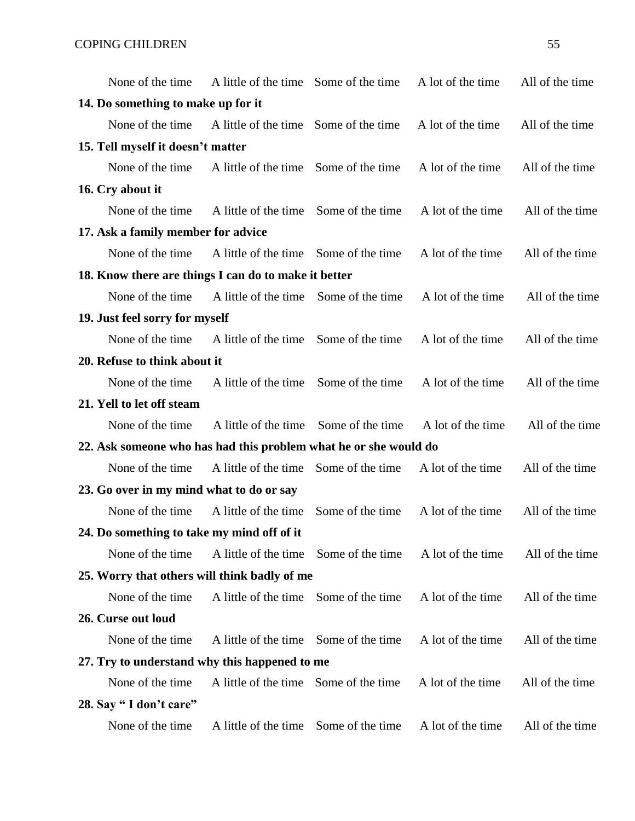| None of the time.                                                | A little of the time Some of the time |                  | A lot of the time | All of the time |
|------------------------------------------------------------------|---------------------------------------|------------------|-------------------|-----------------|
| 14. Do something to make up for it                               |                                       |                  |                   |                 |
| None of the time                                                 | A little of the time Some of the time |                  | A lot of the time | All of the time |
| 15. Tell myself it doesn't matter                                |                                       |                  |                   |                 |
| None of the time.                                                | A little of the time Some of the time |                  | A lot of the time | All of the time |
| 16. Cry about it                                                 |                                       |                  |                   |                 |
| None of the time                                                 | A little of the time Some of the time |                  | A lot of the time | All of the time |
| 17. Ask a family member for advice                               |                                       |                  |                   |                 |
| None of the time.                                                | A little of the time Some of the time |                  | A lot of the time | All of the time |
| 18. Know there are things I can do to make it better             |                                       |                  |                   |                 |
| None of the time.                                                | A little of the time Some of the time |                  | A lot of the time | All of the time |
| 19. Just feel sorry for myself                                   |                                       |                  |                   |                 |
| None of the time                                                 | A little of the time                  | Some of the time | A lot of the time | All of the time |
| 20. Refuse to think about it                                     |                                       |                  |                   |                 |
| None of the time                                                 | A little of the time                  | Some of the time | A lot of the time | All of the time |
| 21. Yell to let off steam                                        |                                       |                  |                   |                 |
| None of the time                                                 | A little of the time                  | Some of the time | A lot of the time | All of the time |
| 22. Ask someone who has had this problem what he or she would do |                                       |                  |                   |                 |
| None of the time                                                 | A little of the time                  | Some of the time | A lot of the time | All of the time |
| 23. Go over in my mind what to do or say                         |                                       |                  |                   |                 |
| None of the time                                                 | A little of the time                  | Some of the time | A lot of the time | All of the time |
| 24. Do something to take my mind off of it                       |                                       |                  |                   |                 |
| None of the time                                                 | A little of the time Some of the time |                  | A lot of the time | All of the time |
| 25. Worry that others will think badly of me                     |                                       |                  |                   |                 |
| None of the time                                                 | A little of the time                  | Some of the time | A lot of the time | All of the time |
| 26. Curse out loud                                               |                                       |                  |                   |                 |
| None of the time                                                 | A little of the time                  | Some of the time | A lot of the time | All of the time |
| 27. Try to understand why this happened to me                    |                                       |                  |                   |                 |
| None of the time                                                 | A little of the time Some of the time |                  | A lot of the time | All of the time |
| 28. Say "I don't care"                                           |                                       |                  |                   |                 |
| None of the time                                                 | A little of the time Some of the time |                  | A lot of the time | All of the time |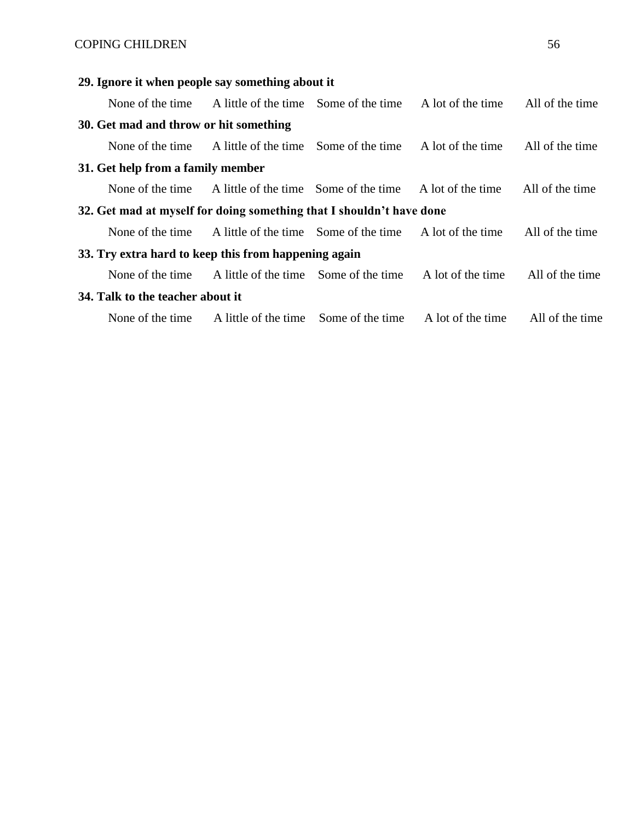# COPING CHILDREN 56

# **29. Ignore it when people say something about it**

|                                                                      | None of the time A little of the time Some of the time A lot of the time All of the time |                                   |                 |
|----------------------------------------------------------------------|------------------------------------------------------------------------------------------|-----------------------------------|-----------------|
| 30. Get mad and throw or hit something                               |                                                                                          |                                   |                 |
| None of the time                                                     | A little of the time Some of the time                                                    | A lot of the time All of the time |                 |
| 31. Get help from a family member                                    |                                                                                          |                                   |                 |
|                                                                      | None of the time A little of the time Some of the time A lot of the time                 |                                   | All of the time |
| 32. Get mad at myself for doing something that I shouldn't have done |                                                                                          |                                   |                 |
|                                                                      | None of the time A little of the time Some of the time A lot of the time                 |                                   | All of the time |
| 33. Try extra hard to keep this from happening again                 |                                                                                          |                                   |                 |
| None of the time                                                     | A little of the time Some of the time                                                    | A lot of the time                 | All of the time |
| 34. Talk to the teacher about it                                     |                                                                                          |                                   |                 |
|                                                                      | None of the time A little of the time Some of the time A lot of the time All of the time |                                   |                 |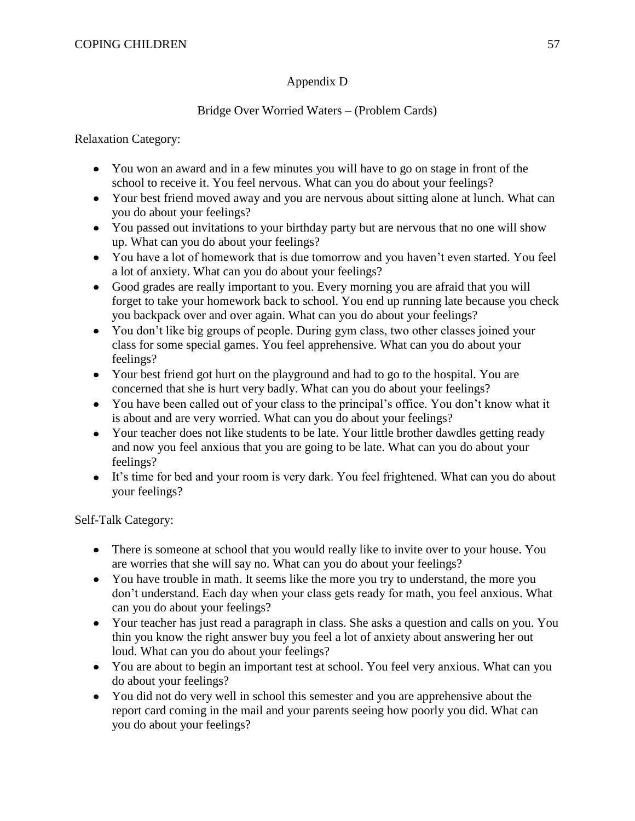### Appendix D

### Bridge Over Worried Waters – (Problem Cards)

Relaxation Category:

- You won an award and in a few minutes you will have to go on stage in front of the school to receive it. You feel nervous. What can you do about your feelings?
- Your best friend moved away and you are nervous about sitting alone at lunch. What can you do about your feelings?
- You passed out invitations to your birthday party but are nervous that no one will show up. What can you do about your feelings?
- You have a lot of homework that is due tomorrow and you haven't even started. You feel a lot of anxiety. What can you do about your feelings?
- Good grades are really important to you. Every morning you are afraid that you will forget to take your homework back to school. You end up running late because you check you backpack over and over again. What can you do about your feelings?
- You don't like big groups of people. During gym class, two other classes joined your class for some special games. You feel apprehensive. What can you do about your feelings?
- Your best friend got hurt on the playground and had to go to the hospital. You are concerned that she is hurt very badly. What can you do about your feelings?
- You have been called out of your class to the principal's office. You don't know what it is about and are very worried. What can you do about your feelings?
- Your teacher does not like students to be late. Your little brother dawdles getting ready and now you feel anxious that you are going to be late. What can you do about your feelings?
- It's time for bed and your room is very dark. You feel frightened. What can you do about your feelings?

Self-Talk Category:

- There is someone at school that you would really like to invite over to your house. You are worries that she will say no. What can you do about your feelings?
- You have trouble in math. It seems like the more you try to understand, the more you don't understand. Each day when your class gets ready for math, you feel anxious. What can you do about your feelings?
- Your teacher has just read a paragraph in class. She asks a question and calls on you. You thin you know the right answer buy you feel a lot of anxiety about answering her out loud. What can you do about your feelings?
- You are about to begin an important test at school. You feel very anxious. What can you do about your feelings?
- You did not do very well in school this semester and you are apprehensive about the report card coming in the mail and your parents seeing how poorly you did. What can you do about your feelings?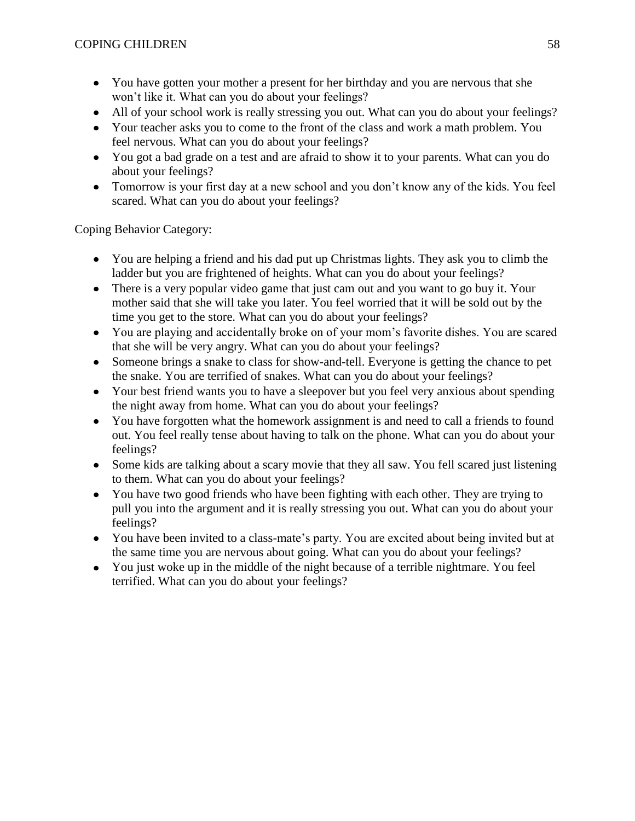- You have gotten your mother a present for her birthday and you are nervous that she won't like it. What can you do about your feelings?
- All of your school work is really stressing you out. What can you do about your feelings?
- Your teacher asks you to come to the front of the class and work a math problem. You feel nervous. What can you do about your feelings?
- You got a bad grade on a test and are afraid to show it to your parents. What can you do about your feelings?
- Tomorrow is your first day at a new school and you don't know any of the kids. You feel scared. What can you do about your feelings?

Coping Behavior Category:

- You are helping a friend and his dad put up Christmas lights. They ask you to climb the ladder but you are frightened of heights. What can you do about your feelings?
- There is a very popular video game that just cam out and you want to go buy it. Your mother said that she will take you later. You feel worried that it will be sold out by the time you get to the store. What can you do about your feelings?
- You are playing and accidentally broke on of your mom's favorite dishes. You are scared that she will be very angry. What can you do about your feelings?
- Someone brings a snake to class for show-and-tell. Everyone is getting the chance to pet the snake. You are terrified of snakes. What can you do about your feelings?
- Your best friend wants you to have a sleepover but you feel very anxious about spending the night away from home. What can you do about your feelings?
- You have forgotten what the homework assignment is and need to call a friends to found out. You feel really tense about having to talk on the phone. What can you do about your feelings?
- Some kids are talking about a scary movie that they all saw. You fell scared just listening to them. What can you do about your feelings?
- You have two good friends who have been fighting with each other. They are trying to pull you into the argument and it is really stressing you out. What can you do about your feelings?
- You have been invited to a class-mate's party. You are excited about being invited but at the same time you are nervous about going. What can you do about your feelings?
- You just woke up in the middle of the night because of a terrible nightmare. You feel terrified. What can you do about your feelings?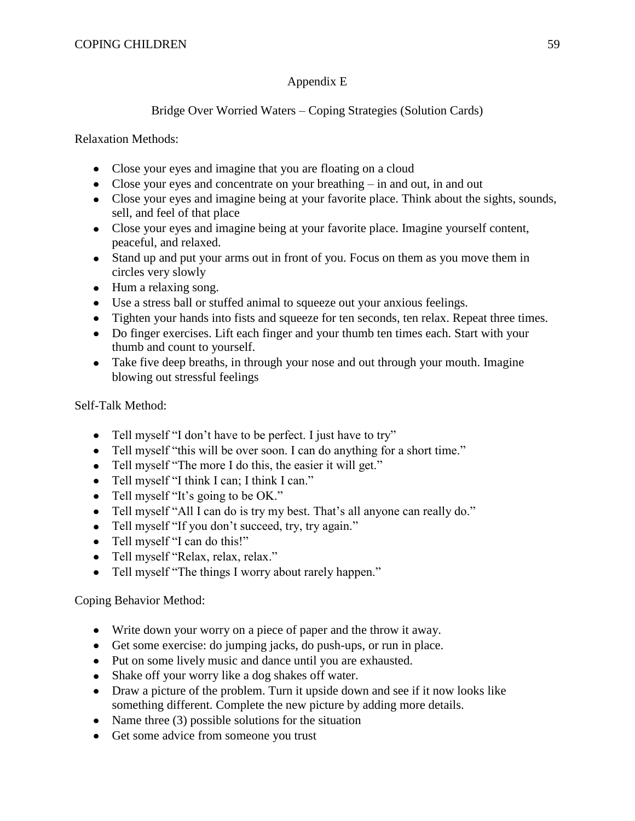## Appendix E

# Bridge Over Worried Waters – Coping Strategies (Solution Cards)

Relaxation Methods:

- Close your eyes and imagine that you are floating on a cloud
- Close your eyes and concentrate on your breathing in and out, in and out
- Close your eyes and imagine being at your favorite place. Think about the sights, sounds, sell, and feel of that place
- Close your eyes and imagine being at your favorite place. Imagine yourself content, peaceful, and relaxed.
- Stand up and put your arms out in front of you. Focus on them as you move them in circles very slowly
- Hum a relaxing song.
- Use a stress ball or stuffed animal to squeeze out your anxious feelings.
- Tighten your hands into fists and squeeze for ten seconds, ten relax. Repeat three times.
- Do finger exercises. Lift each finger and your thumb ten times each. Start with your thumb and count to yourself.
- Take five deep breaths, in through your nose and out through your mouth. Imagine blowing out stressful feelings

Self-Talk Method:

- Tell myself "I don't have to be perfect. I just have to try"
- Tell myself "this will be over soon. I can do anything for a short time."
- Tell myself "The more I do this, the easier it will get."
- Tell myself "I think I can; I think I can."
- Tell myself "It's going to be OK."
- Tell myself "All I can do is try my best. That's all anyone can really do."
- Tell myself "If you don't succeed, try, try again."
- Tell myself "I can do this!"
- Tell myself "Relax, relax, relax."
- Tell myself "The things I worry about rarely happen."

Coping Behavior Method:

- Write down your worry on a piece of paper and the throw it away.
- Get some exercise: do jumping jacks, do push-ups, or run in place.
- Put on some lively music and dance until you are exhausted.
- Shake off your worry like a dog shakes off water.
- Draw a picture of the problem. Turn it upside down and see if it now looks like something different. Complete the new picture by adding more details.
- Name three  $(3)$  possible solutions for the situation
- Get some advice from someone you trust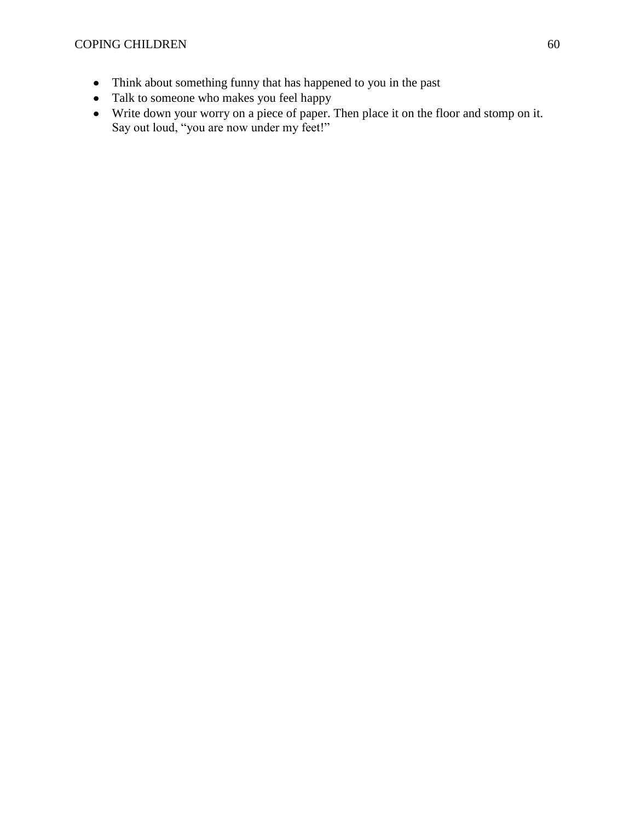- Think about something funny that has happened to you in the past
- Talk to someone who makes you feel happy
- Write down your worry on a piece of paper. Then place it on the floor and stomp on it. Say out loud, "you are now under my feet!"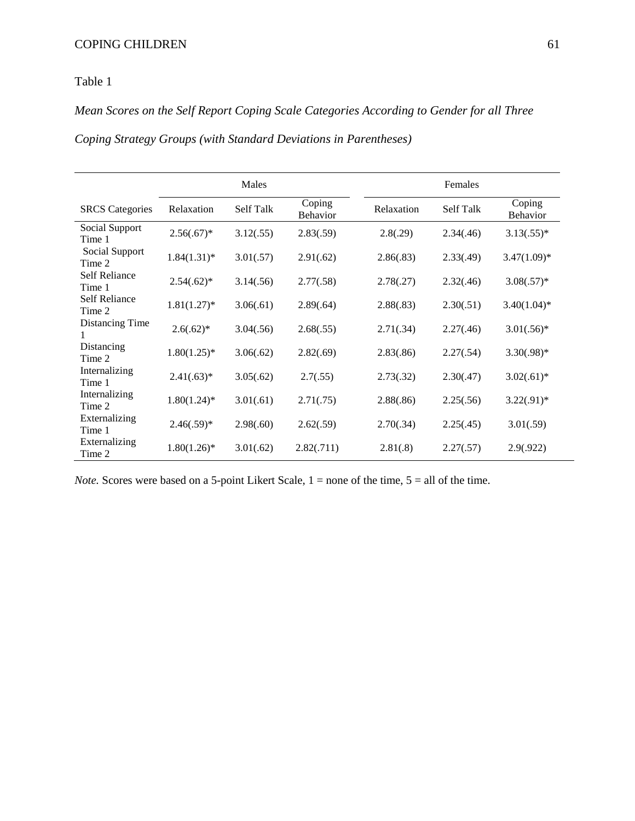### Table 1

# *Mean Scores on the Self Report Coping Scale Categories According to Gender for all Three*

*Coping Strategy Groups (with Standard Deviations in Parentheses)*

|                                | Males          |                  |                           | Females    |           |                           |
|--------------------------------|----------------|------------------|---------------------------|------------|-----------|---------------------------|
| <b>SRCS</b> Categories         | Relaxation     | <b>Self Talk</b> | Coping<br><b>Behavior</b> | Relaxation | Self Talk | Coping<br><b>Behavior</b> |
| Social Support<br>Time 1       | $2.56(.67)^*$  | 3.12(.55)        | 2.83(.59)                 | 2.8(.29)   | 2.34(.46) | $3.13(.55)*$              |
| Social Support<br>Time 2       | $1.84(1.31)^*$ | 3.01(.57)        | 2.91(.62)                 | 2.86(.83)  | 2.33(.49) | $3.47(1.09)*$             |
| <b>Self Reliance</b><br>Time 1 | $2.54(.62)^*$  | 3.14(.56)        | 2.77(.58)                 | 2.78(.27)  | 2.32(.46) | $3.08(.57)*$              |
| <b>Self Reliance</b><br>Time 2 | $1.81(1.27)$ * | 3.06(.61)        | 2.89(.64)                 | 2.88(.83)  | 2.30(.51) | $3.40(1.04)$ *            |
| Distancing Time<br>1           | $2.6(.62)^*$   | 3.04(.56)        | 2.68(.55)                 | 2.71(.34)  | 2.27(.46) | $3.01(.56)*$              |
| Distancing<br>Time 2           | $1.80(1.25)$ * | 3.06(.62)        | 2.82(.69)                 | 2.83(.86)  | 2.27(.54) | $3.30(.98)*$              |
| Internalizing<br>Time 1        | $2.41(.63)*$   | 3.05(.62)        | 2.7(.55)                  | 2.73(.32)  | 2.30(.47) | $3.02(.61)*$              |
| Internalizing<br>Time 2        | $1.80(1.24)$ * | 3.01(.61)        | 2.71(.75)                 | 2.88(.86)  | 2.25(.56) | $3.22(.91)*$              |
| Externalizing<br>Time 1        | $2.46(.59)$ *  | 2.98(.60)        | 2.62(.59)                 | 2.70(.34)  | 2.25(.45) | 3.01(.59)                 |
| Externalizing<br>Time 2        | $1.80(1.26)$ * | 3.01(.62)        | 2.82(.711)                | 2.81(.8)   | 2.27(.57) | 2.9(0.922)                |

*Note.* Scores were based on a 5-point Likert Scale,  $1 =$  none of the time,  $5 =$  all of the time.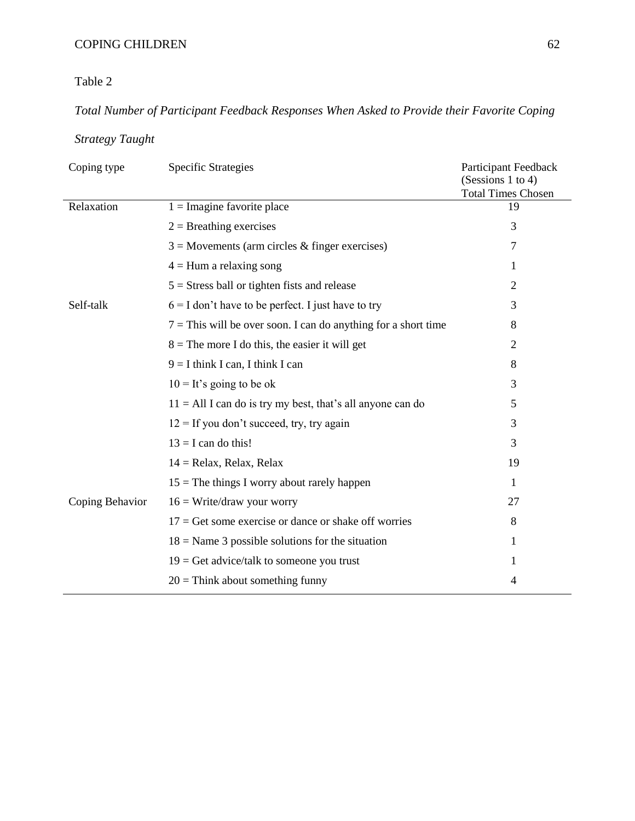Table 2

# *Total Number of Participant Feedback Responses When Asked to Provide their Favorite Coping*

# *Strategy Taught*

| Coping type     | <b>Specific Strategies</b>                                       | <b>Participant Feedback</b><br>(Sessions 1 to 4)<br><b>Total Times Chosen</b> |
|-----------------|------------------------------------------------------------------|-------------------------------------------------------------------------------|
| Relaxation      | $1 = \text{Imagine favorite place}$                              | 19                                                                            |
|                 | $2 =$ Breathing exercises                                        | 3                                                                             |
|                 | $3 =$ Movements (arm circles & finger exercises)                 | 7                                                                             |
|                 | $4 =$ Hum a relaxing song                                        | 1                                                                             |
|                 | $5 =$ Stress ball or tighten fists and release                   | $\overline{2}$                                                                |
| Self-talk       | $6 = I$ don't have to be perfect. I just have to try             | 3                                                                             |
|                 | $7 =$ This will be over soon. I can do anything for a short time | 8                                                                             |
|                 | $8 =$ The more I do this, the easier it will get                 | $\overline{2}$                                                                |
|                 | $9 = I$ think I can, I think I can                               | 8                                                                             |
|                 | $10 =$ It's going to be ok                                       | 3                                                                             |
|                 | $11 = All I can do is try my best, that's all anyone can do$     | 5                                                                             |
|                 | $12 =$ If you don't succeed, try, try again                      | 3                                                                             |
|                 | $13 = I$ can do this!                                            | 3                                                                             |
|                 | $14 =$ Relax, Relax, Relax                                       | 19                                                                            |
|                 | $15$ = The things I worry about rarely happen                    | 1                                                                             |
| Coping Behavior | $16 = Write/draw$ your worry                                     | 27                                                                            |
|                 | $17 =$ Get some exercise or dance or shake off worries           | 8                                                                             |
|                 | $18$ = Name 3 possible solutions for the situation               | 1                                                                             |
|                 | $19 =$ Get advice/talk to some one you trust                     | 1                                                                             |
|                 | $20 =$ Think about something funny                               | 4                                                                             |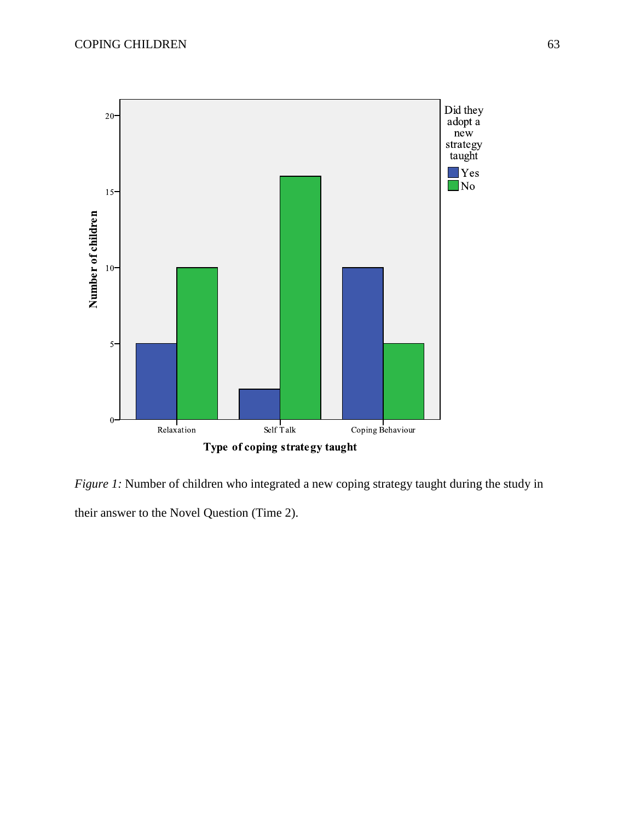

*Figure 1:* Number of children who integrated a new coping strategy taught during the study in their answer to the Novel Question (Time 2).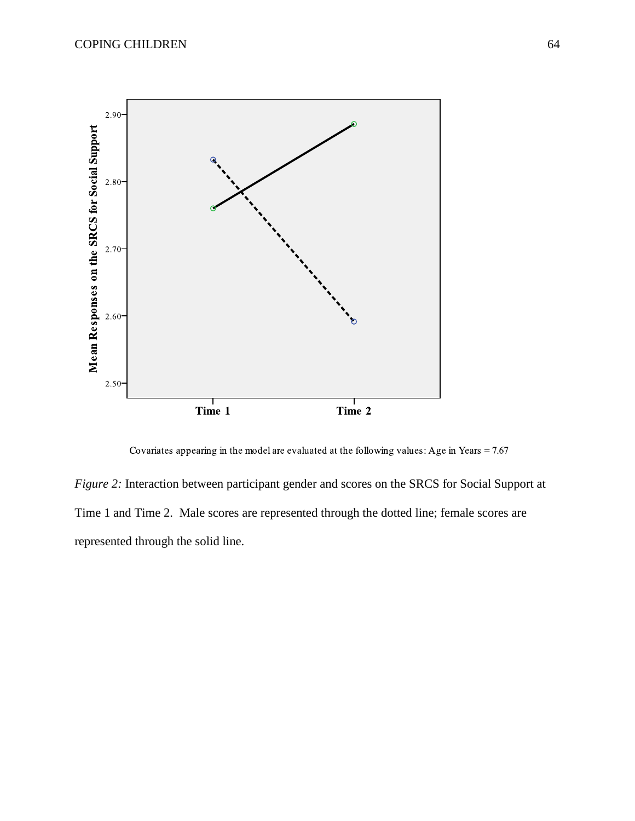

Covariates appearing in the model are evaluated at the following values: Age in Years =  $7.67$ 

*Figure 2:* Interaction between participant gender and scores on the SRCS for Social Support at Time 1 and Time 2. Male scores are represented through the dotted line; female scores are represented through the solid line.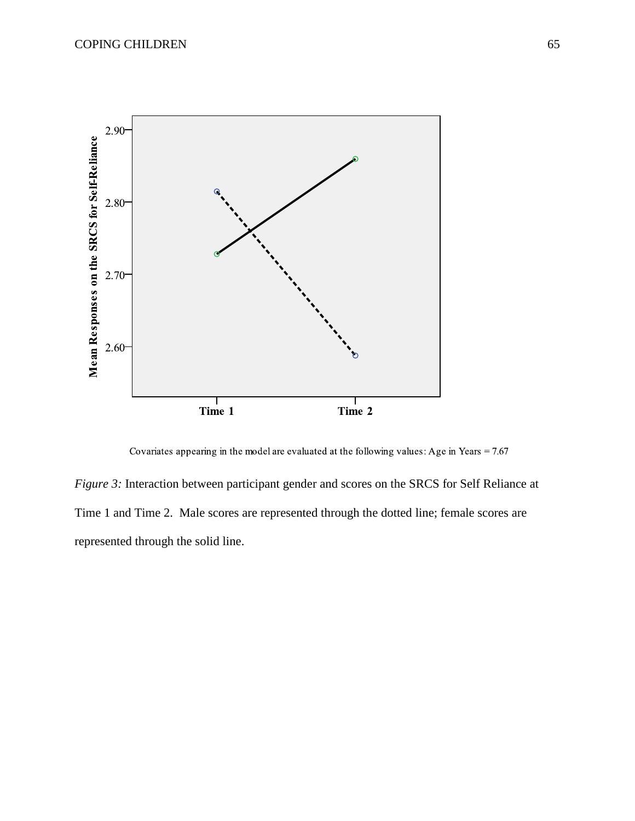

Covariates appearing in the model are evaluated at the following values: Age in Years =  $7.67$ 

*Figure 3:* Interaction between participant gender and scores on the SRCS for Self Reliance at Time 1 and Time 2. Male scores are represented through the dotted line; female scores are represented through the solid line.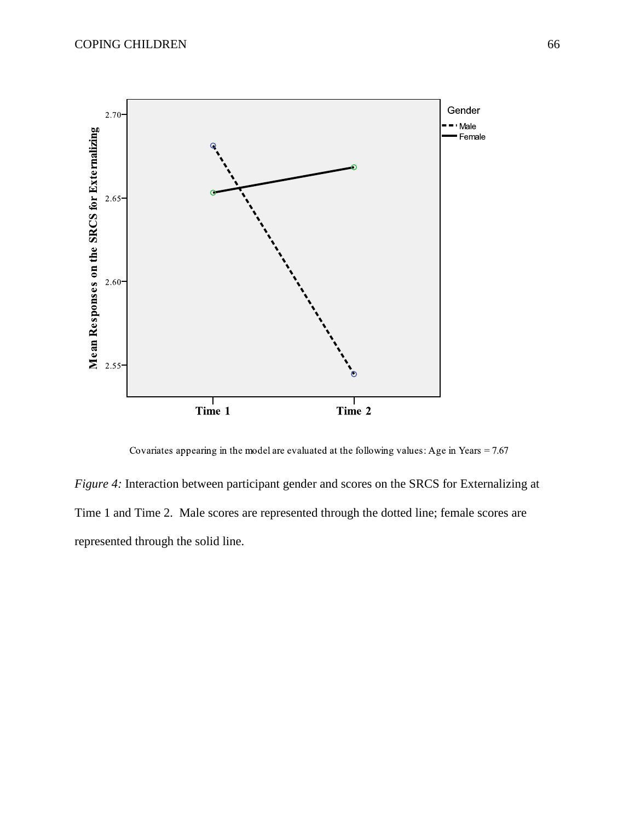

Covariates appearing in the model are evaluated at the following values: Age in Years =  $7.67$ 

*Figure 4:* Interaction between participant gender and scores on the SRCS for Externalizing at Time 1 and Time 2. Male scores are represented through the dotted line; female scores are represented through the solid line.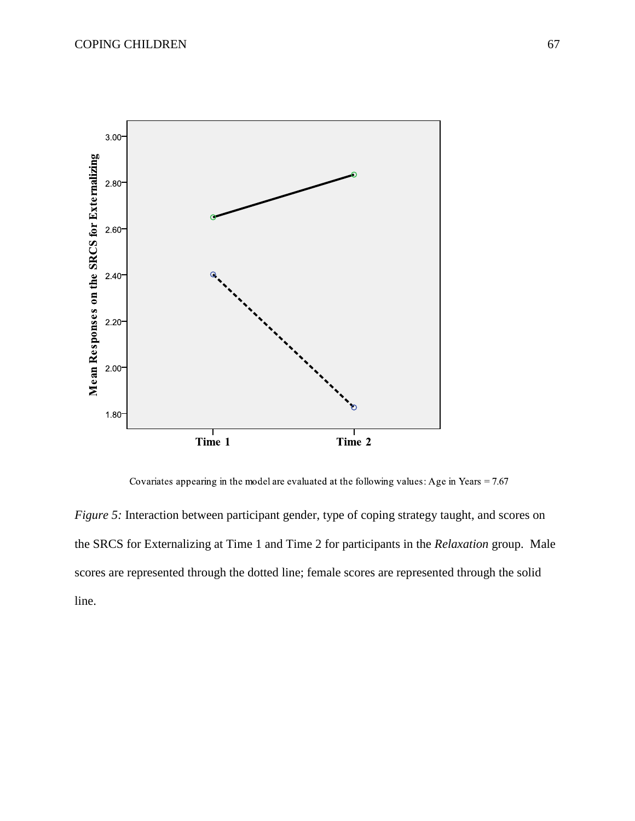

Covariates appearing in the model are evaluated at the following values: Age in Years =  $7.67$ 

*Figure 5:* Interaction between participant gender, type of coping strategy taught, and scores on the SRCS for Externalizing at Time 1 and Time 2 for participants in the *Relaxation* group. Male scores are represented through the dotted line; female scores are represented through the solid line.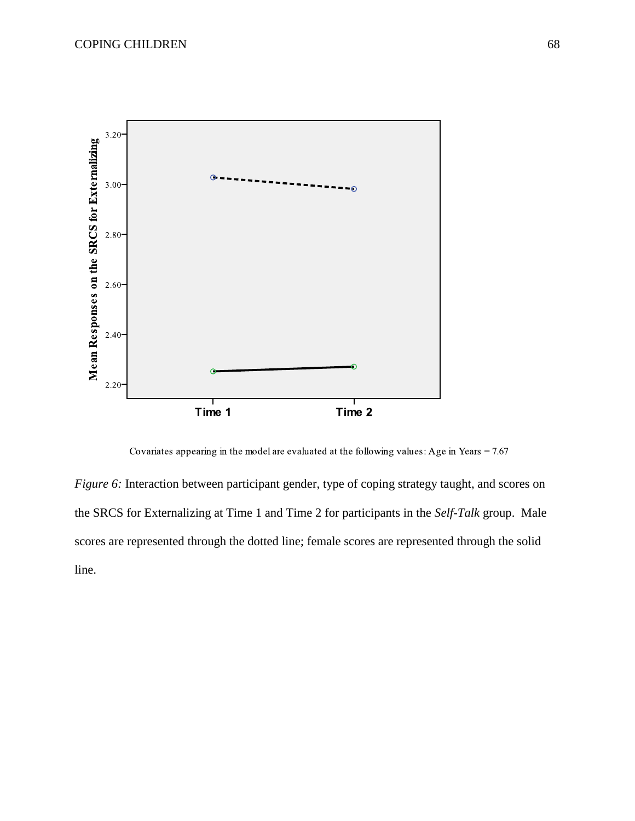

Covariates appearing in the model are evaluated at the following values: Age in Years =  $7.67$ 

*Figure 6:* Interaction between participant gender, type of coping strategy taught, and scores on the SRCS for Externalizing at Time 1 and Time 2 for participants in the *Self-Talk* group. Male scores are represented through the dotted line; female scores are represented through the solid line.